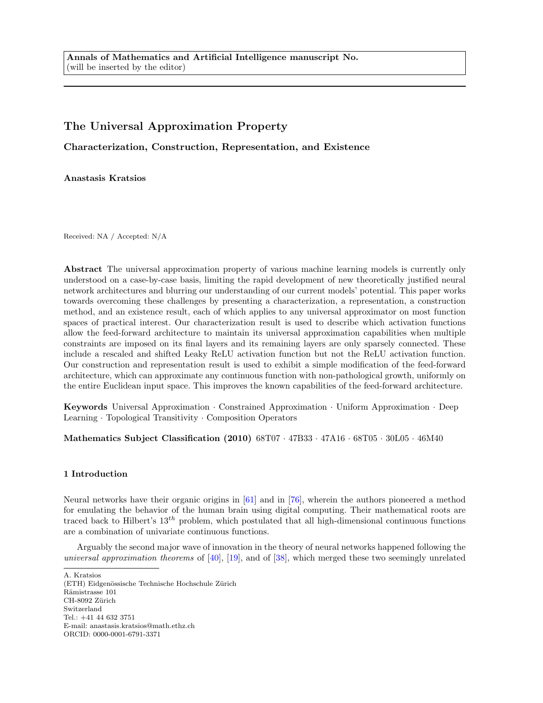Annals of Mathematics and Artificial Intelligence manuscript No. (will be inserted by the editor)

# The Universal Approximation Property

Characterization, Construction, Representation, and Existence

Anastasis Kratsios

Received: NA / Accepted: N/A

Abstract The universal approximation property of various machine learning models is currently only understood on a case-by-case basis, limiting the rapid development of new theoretically justified neural network architectures and blurring our understanding of our current models' potential. This paper works towards overcoming these challenges by presenting a characterization, a representation, a construction method, and an existence result, each of which applies to any universal approximator on most function spaces of practical interest. Our characterization result is used to describe which activation functions allow the feed-forward architecture to maintain its universal approximation capabilities when multiple constraints are imposed on its final layers and its remaining layers are only sparsely connected. These include a rescaled and shifted Leaky ReLU activation function but not the ReLU activation function. Our construction and representation result is used to exhibit a simple modification of the feed-forward architecture, which can approximate any continuous function with non-pathological growth, uniformly on the entire Euclidean input space. This improves the known capabilities of the feed-forward architecture.

Keywords Universal Approximation · Constrained Approximation · Uniform Approximation · Deep Learning · Topological Transitivity · Composition Operators

Mathematics Subject Classification (2010) 68T07 · 47B33 · 47A16 · 68T05 · 30L05 · 46M40

## 1 Introduction

Neural networks have their organic origins in [\[61\]](#page-16-0) and in [\[76\]](#page-17-0), wherein the authors pioneered a method for emulating the behavior of the human brain using digital computing. Their mathematical roots are traced back to Hilbert's  $13^{th}$  problem, which postulated that all high-dimensional continuous functions are a combination of univariate continuous functions.

Arguably the second major wave of innovation in the theory of neural networks happened following the universal approximation theorems of [\[40\]](#page-16-1), [\[19\]](#page-15-0), and of [\[38\]](#page-15-1), which merged these two seemingly unrelated

A. Kratsios

(ETH) Eidgenössische Technische Hochschule Zürich Rämistrasse 101 CH-8092 Zürich Switzerland Tel.: +41 44 632 3751 E-mail: anastasis.kratsios@math.ethz.ch ORCID: 0000-0001-6791-3371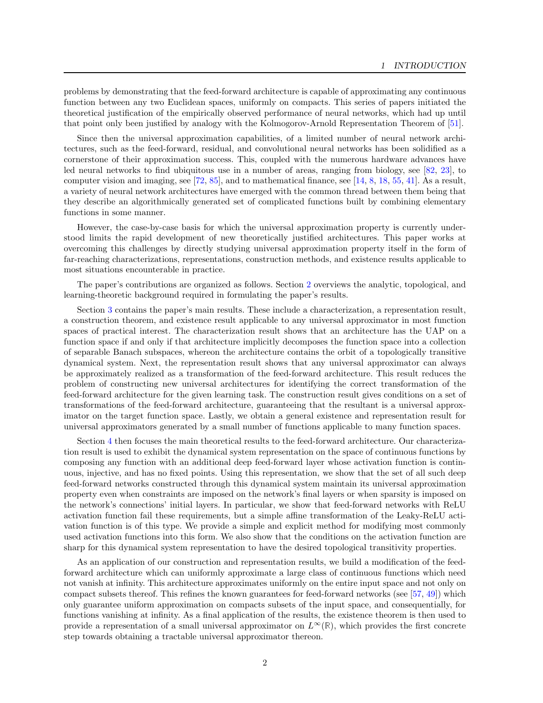problems by demonstrating that the feed-forward architecture is capable of approximating any continuous function between any two Euclidean spaces, uniformly on compacts. This series of papers initiated the theoretical justification of the empirically observed performance of neural networks, which had up until that point only been justified by analogy with the Kolmogorov-Arnold Representation Theorem of [\[51\]](#page-16-2).

Since then the universal approximation capabilities, of a limited number of neural network architectures, such as the feed-forward, residual, and convolutional neural networks has been solidified as a cornerstone of their approximation success. This, coupled with the numerous hardware advances have led neural networks to find ubiquitous use in a number of areas, ranging from biology, see [\[82,](#page-17-1) [23\]](#page-15-2), to computer vision and imaging, see [\[72,](#page-17-2) [85\]](#page-17-3), and to mathematical finance, see [\[14,](#page-15-3) [8,](#page-14-0) [18,](#page-15-4) [55,](#page-16-3) [41\]](#page-16-4). As a result, a variety of neural network architectures have emerged with the common thread between them being that they describe an algorithmically generated set of complicated functions built by combining elementary functions in some manner.

However, the case-by-case basis for which the universal approximation property is currently understood limits the rapid development of new theoretically justified architectures. This paper works at overcoming this challenges by directly studying universal approximation property itself in the form of far-reaching characterizations, representations, construction methods, and existence results applicable to most situations encounterable in practice.

The paper's contributions are organized as follows. Section [2](#page-2-0) overviews the analytic, topological, and learning-theoretic background required in formulating the paper's results.

Section [3](#page-5-0) contains the paper's main results. These include a characterization, a representation result, a construction theorem, and existence result applicable to any universal approximator in most function spaces of practical interest. The characterization result shows that an architecture has the UAP on a function space if and only if that architecture implicitly decomposes the function space into a collection of separable Banach subspaces, whereon the architecture contains the orbit of a topologically transitive dynamical system. Next, the representation result shows that any universal approximator can always be approximately realized as a transformation of the feed-forward architecture. This result reduces the problem of constructing new universal architectures for identifying the correct transformation of the feed-forward architecture for the given learning task. The construction result gives conditions on a set of transformations of the feed-forward architecture, guaranteeing that the resultant is a universal approximator on the target function space. Lastly, we obtain a general existence and representation result for universal approximators generated by a small number of functions applicable to many function spaces.

Section [4](#page-7-0) then focuses the main theoretical results to the feed-forward architecture. Our characterization result is used to exhibit the dynamical system representation on the space of continuous functions by composing any function with an additional deep feed-forward layer whose activation function is continuous, injective, and has no fixed points. Using this representation, we show that the set of all such deep feed-forward networks constructed through this dynamical system maintain its universal approximation property even when constraints are imposed on the network's final layers or when sparsity is imposed on the network's connections' initial layers. In particular, we show that feed-forward networks with ReLU activation function fail these requirements, but a simple affine transformation of the Leaky-ReLU activation function is of this type. We provide a simple and explicit method for modifying most commonly used activation functions into this form. We also show that the conditions on the activation function are sharp for this dynamical system representation to have the desired topological transitivity properties.

As an application of our construction and representation results, we build a modification of the feedforward architecture which can uniformly approximate a large class of continuous functions which need not vanish at infinity. This architecture approximates uniformly on the entire input space and not only on compact subsets thereof. This refines the known guarantees for feed-forward networks (see [\[57,](#page-16-5) [49\]](#page-16-6)) which only guarantee uniform approximation on compacts subsets of the input space, and consequentially, for functions vanishing at infinity. As a final application of the results, the existence theorem is then used to provide a representation of a small universal approximator on  $L^{\infty}(\mathbb{R})$ , which provides the first concrete step towards obtaining a tractable universal approximator thereon.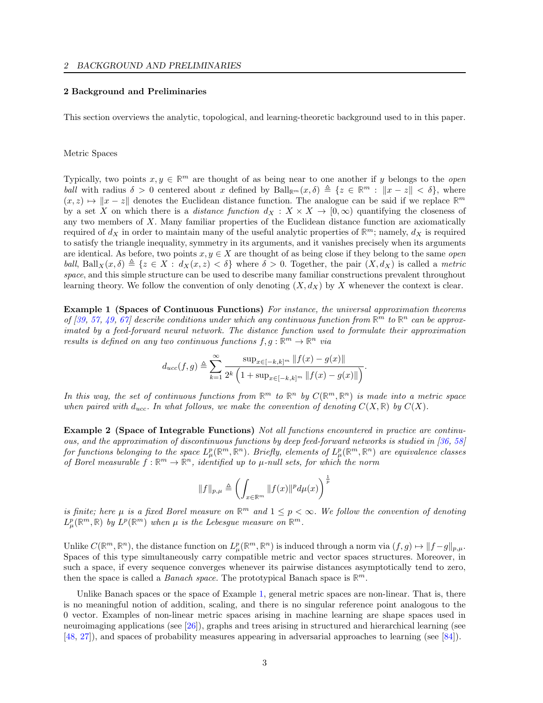## <span id="page-2-0"></span>2 Background and Preliminaries

This section overviews the analytic, topological, and learning-theoretic background used to in this paper.

#### Metric Spaces

Typically, two points  $x, y \in \mathbb{R}^m$  are thought of as being near to one another if y belongs to the *open* ball with radius  $\delta > 0$  centered about x defined by  $\text{Ball}_{\mathbb{R}^m}(x, \delta) \triangleq \{z \in \mathbb{R}^m : ||x - z|| < \delta\}$ , where  $(x, z) \mapsto ||x - z||$  denotes the Euclidean distance function. The analogue can be said if we replace  $\mathbb{R}^m$ by a set X on which there is a *distance function*  $d_X : X \times X \to [0,\infty)$  quantifying the closeness of any two members of  $X$ . Many familiar properties of the Euclidean distance function are axiomatically required of  $d_X$  in order to maintain many of the useful analytic properties of  $\mathbb{R}^m$ ; namely,  $d_X$  is required to satisfy the triangle inequality, symmetry in its arguments, and it vanishes precisely when its arguments are identical. As before, two points  $x, y \in X$  are thought of as being close if they belong to the same *open* ball, Ball $_X(x, \delta) \triangleq \{z \in X : d_X(x, z) < \delta\}$  where  $\delta > 0$ . Together, the pair  $(X, d_X)$  is called a metric space, and this simple structure can be used to describe many familiar constructions prevalent throughout learning theory. We follow the convention of only denoting  $(X, d_X)$  by X whenever the context is clear.

<span id="page-2-1"></span>Example 1 (Spaces of Continuous Functions) For instance, the universal approximation theorems of [\[39,](#page-16-7) [57,](#page-16-5) [49,](#page-16-6) [67\]](#page-17-4) describe conditions under which any continuous function from  $\mathbb{R}^m$  to  $\mathbb{R}^n$  can be approximated by a feed-forward neural network. The distance function used to formulate their approximation results is defined on any two continuous functions  $f, g : \mathbb{R}^m \to \mathbb{R}^n$  via

$$
d_{ucc}(f,g) \triangleq \sum_{k=1}^{\infty} \frac{\sup_{x \in [-k,k]^m} \|f(x) - g(x)\|}{2^k \left(1 + \sup_{x \in [-k,k]^m} \|f(x) - g(x)\|\right)}.
$$

In this way, the set of continuous functions from  $\mathbb{R}^m$  to  $\mathbb{R}^n$  by  $C(\mathbb{R}^m, \mathbb{R}^n)$  is made into a metric space when paired with d<sub>ucc</sub>. In what follows, we make the convention of denoting  $C(X, \mathbb{R})$  by  $C(X)$ .

Example 2 (Space of Integrable Functions) Not all functions encountered in practice are continuous, and the approximation of discontinuous functions by deep feed-forward networks is studied in [\[36,](#page-15-5) [58\]](#page-16-8) for functions belonging to the space  $L^p_\mu(\mathbb{R}^m,\mathbb{R}^n)$ . Briefly, elements of  $L^p_\mu(\mathbb{R}^m,\mathbb{R}^n)$  are equivalence classes of Borel measurable  $f : \mathbb{R}^m \to \mathbb{R}^n$ , identified up to  $\mu$ -null sets, for which the norm

$$
||f||_{p,\mu} \triangleq \left(\int_{x \in \mathbb{R}^m} ||f(x)||^p d\mu(x)\right)^{\frac{1}{p}}
$$

is finite; here  $\mu$  is a fixed Borel measure on  $\mathbb{R}^m$  and  $1 \leq p < \infty$ . We follow the convention of denoting  $L^p_\mu(\mathbb{R}^m,\mathbb{R})$  by  $L^p(\mathbb{R}^m)$  when  $\mu$  is the Lebesgue measure on  $\mathbb{R}^m$ .

Unlike  $C(\mathbb{R}^m, \mathbb{R}^n)$ , the distance function on  $L^p_\mu(\mathbb{R}^m, \mathbb{R}^n)$  is induced through a norm via  $(f, g) \mapsto ||f - g||_{p,\mu}$ . Spaces of this type simultaneously carry compatible metric and vector spaces structures. Moreover, in such a space, if every sequence converges whenever its pairwise distances asymptotically tend to zero, then the space is called a *Banach space*. The prototypical Banach space is  $\mathbb{R}^m$ .

Unlike Banach spaces or the space of Example [1,](#page-2-1) general metric spaces are non-linear. That is, there is no meaningful notion of addition, scaling, and there is no singular reference point analogous to the 0 vector. Examples of non-linear metric spaces arising in machine learning are shape spaces used in neuroimaging applications (see [\[26\]](#page-15-6)), graphs and trees arising in structured and hierarchical learning (see [\[48,](#page-16-9) [27\]](#page-15-7)), and spaces of probability measures appearing in adversarial approaches to learning (see [\[84\]](#page-17-5)).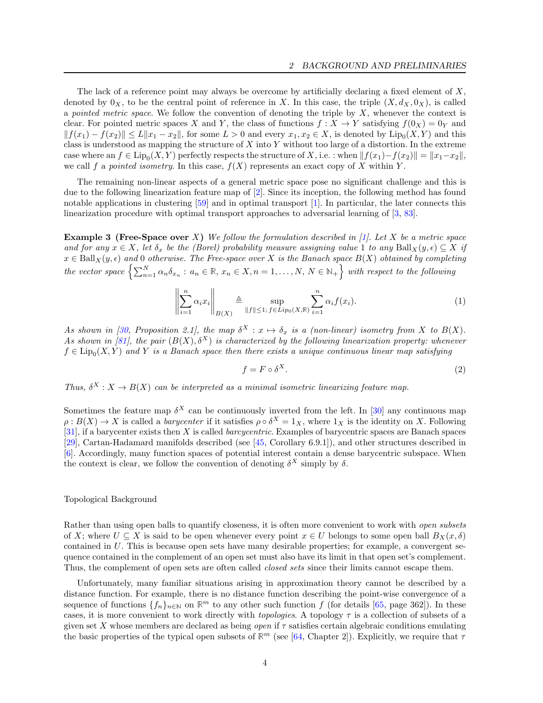The lack of a reference point may always be overcome by artificially declaring a fixed element of  $X$ , denoted by  $0_X$ , to be the central point of reference in X. In this case, the triple  $(X, d_X, 0_X)$ , is called a pointed metric space. We follow the convention of denoting the triple by  $X$ , whenever the context is clear. For pointed metric spaces X and Y, the class of functions  $f: X \to Y$  satisfying  $f(0_X) = 0_Y$  and  $|| f(x_1) - f(x_2)|| \le L||x_1 - x_2||$ , for some  $L > 0$  and every  $x_1, x_2 \in X$ , is denoted by  $Lip_0(X, Y)$  and this class is understood as mapping the structure of  $X$  into  $Y$  without too large of a distortion. In the extreme case where an  $f \in \text{Lip}_0(X, Y)$  perfectly respects the structure of X, i.e. : when  $||f(x_1)-f(x_2)|| = ||x_1-x_2||$ , we call f a pointed isometry. In this case,  $f(X)$  represents an exact copy of X within Y.

The remaining non-linear aspects of a general metric space pose no significant challenge and this is due to the following linearization feature map of [\[2\]](#page-14-1). Since its inception, the following method has found notable applications in clustering [\[59\]](#page-16-10) and in optimal transport [\[1\]](#page-14-2). In particular, the later connects this linearization procedure with optimal transport approaches to adversarial learning of [\[3,](#page-14-3) [83\]](#page-17-6).

**Example 3 (Free-Space over** X) We follow the formulation described in [\[1\]](#page-14-2). Let X be a metric space and for any  $x \in X$ , let  $\delta_x$  be the (Borel) probability measure assigning value 1 to any Ball $_X(y, \epsilon) \subseteq X$  if  $x \in \text{Ball}_X(y, \epsilon)$  and 0 otherwise. The Free-space over X is the Banach space  $B(X)$  obtained by completing the vector space  $\left\{\sum_{n=1}^N \alpha_n \delta_{x_n} : a_n \in \mathbb{R}, x_n \in X, n = 1, \ldots, N, N \in \mathbb{N}_+\right\}$  with respect to the following

$$
\left\| \sum_{i=1}^{n} \alpha_i x_i \right\|_{B(X)} \triangleq \sup_{\|f\| \le 1; \, f \in Lip_0(X, \mathbb{R})} \sum_{i=1}^{n} \alpha_i f(x_i). \tag{1}
$$

As shown in [\[30,](#page-15-8) Proposition 2.1], the map  $\delta^X : x \mapsto \delta_x$  is a (non-linear) isometry from X to  $B(X)$ . As shown in [\[81\]](#page-17-7), the pair  $(B(X), \delta^X)$  is characterized by the following linearization property: whenever  $f \in \text{Lip}_0(X, Y)$  and Y is a Banach space then there exists a unique continuous linear map satisfying

$$
f = F \circ \delta^X. \tag{2}
$$

Thus,  $\delta^X : X \to B(X)$  can be interpreted as a minimal isometric linearizing feature map.

Sometimes the feature map  $\delta^X$  can be continuously inverted from the left. In [\[30\]](#page-15-8) any continuous map  $\rho: B(X) \to X$  is called a *barycenter* if it satisfies  $\rho \circ \delta^X = 1_X$ , where  $1_X$  is the identity on X. Following [\[31\]](#page-15-9), if a barycenter exists then X is called barcycentric. Examples of barycentric spaces are Banach spaces [\[29\]](#page-15-10), Cartan-Hadamard manifolds described (see [\[45,](#page-16-11) Corollary 6.9.1]), and other structures described in [\[6\]](#page-14-4). Accordingly, many function spaces of potential interest contain a dense barycentric subspace. When the context is clear, we follow the convention of denoting  $\delta^X$  simply by  $\delta$ .

## Topological Background

Rather than using open balls to quantify closeness, it is often more convenient to work with *open subsets* of X; where  $U \subseteq X$  is said to be open whenever every point  $x \in U$  belongs to some open ball  $B_X(x, \delta)$ contained in U. This is because open sets have many desirable properties; for example, a convergent sequence contained in the complement of an open set must also have its limit in that open set's complement. Thus, the complement of open sets are often called *closed sets* since their limits cannot escape them.

Unfortunately, many familiar situations arising in approximation theory cannot be described by a distance function. For example, there is no distance function describing the point-wise convergence of a sequence of functions  $\{f_n\}_{n\in\mathbb{N}}$  on  $\mathbb{R}^m$  to any other such function f (for details [\[65,](#page-16-12) page 362]). In these cases, it is more convenient to work directly with *topologies*. A topology  $\tau$  is a collection of subsets of a given set X whose members are declared as being *open* if  $\tau$  satisfies certain algebraic conditions emulating the basic properties of the typical open subsets of  $\mathbb{R}^m$  (see [\[64,](#page-16-13) Chapter 2]). Explicitly, we require that  $\tau$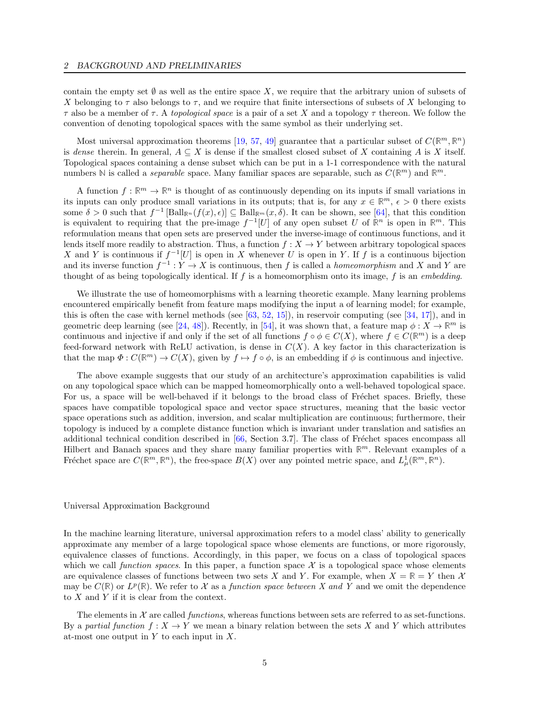contain the empty set  $\emptyset$  as well as the entire space X, we require that the arbitrary union of subsets of X belonging to  $\tau$  also belongs to  $\tau$ , and we require that finite intersections of subsets of X belonging to  $\tau$  also be a member of  $\tau$ . A topological space is a pair of a set X and a topology  $\tau$  thereon. We follow the convention of denoting topological spaces with the same symbol as their underlying set.

Most universal approximation theorems [\[19,](#page-15-0) [57,](#page-16-5) [49\]](#page-16-6) guarantee that a particular subset of  $C(\mathbb{R}^m, \mathbb{R}^n)$ is dense therein. In general,  $A \subseteq X$  is dense if the smallest closed subset of X containing A is X itself. Topological spaces containing a dense subset which can be put in a 1-1 correspondence with the natural numbers N is called a *separable* space. Many familiar spaces are separable, such as  $C(\mathbb{R}^m)$  and  $\mathbb{R}^m$ .

A function  $f : \mathbb{R}^m \to \mathbb{R}^n$  is thought of as continuously depending on its inputs if small variations in its inputs can only produce small variations in its outputs; that is, for any  $x \in \mathbb{R}^m$ ,  $\epsilon > 0$  there exists some  $\delta > 0$  such that  $f^{-1}$  [Ball<sub>R<sup>n</sub></sup>( $f(x)$ ,  $\epsilon$ )]  $\subseteq$  Ball<sub>R</sub><sub>m</sub>( $x$ ,  $\delta$ ). It can be shown, see [\[64\]](#page-16-13), that this condition</sub> is equivalent to requiring that the pre-image  $f^{-1}[U]$  of any open subset U of  $\mathbb{R}^n$  is open in  $\mathbb{R}^m$ . This reformulation means that open sets are preserved under the inverse-image of continuous functions, and it lends itself more readily to abstraction. Thus, a function  $f : X \to Y$  between arbitrary topological spaces X and Y is continuous if  $f^{-1}[U]$  is open in X whenever U is open in Y. If f is a continuous bijection and its inverse function  $f^{-1}: Y \to X$  is continuous, then f is called a *homeomorphism* and X and Y are thought of as being topologically identical. If f is a homeomorphism onto its image, f is an embedding.

We illustrate the use of homeomorphisms with a learning theoretic example. Many learning problems encountered empirically benefit from feature maps modifying the input a of learning model; for example, this is often the case with kernel methods (see  $[63, 52, 15]$  $[63, 52, 15]$  $[63, 52, 15]$  $[63, 52, 15]$  $[63, 52, 15]$ ), in reservoir computing (see  $[34, 17]$  $[34, 17]$  $[34, 17]$ ), and in geometric deep learning (see [\[24,](#page-15-14) [48\]](#page-16-9)). Recently, in [\[54\]](#page-16-16), it was shown that, a feature map  $\phi: X \to \mathbb{R}^m$  is continuous and injective if and only if the set of all functions  $f \circ \phi \in C(X)$ , where  $f \in C(\mathbb{R}^m)$  is a deep feed-forward network with ReLU activation, is dense in  $C(X)$ . A key factor in this characterization is that the map  $\Phi: C(\mathbb{R}^m) \to C(X)$ , given by  $f \mapsto f \circ \phi$ , is an embedding if  $\phi$  is continuous and injective.

The above example suggests that our study of an architecture's approximation capabilities is valid on any topological space which can be mapped homeomorphically onto a well-behaved topological space. For us, a space will be well-behaved if it belongs to the broad class of Fréchet spaces. Briefly, these spaces have compatible topological space and vector space structures, meaning that the basic vector space operations such as addition, inversion, and scalar multiplication are continuous; furthermore, their topology is induced by a complete distance function which is invariant under translation and satisfies an additional technical condition described in  $[66, \text{Section 3.7}]$  $[66, \text{Section 3.7}]$ . The class of Fréchet spaces encompass all Hilbert and Banach spaces and they share many familiar properties with  $\mathbb{R}^m$ . Relevant examples of a Fréchet space are  $C(\mathbb{R}^m, \mathbb{R}^n)$ , the free-space  $B(X)$  over any pointed metric space, and  $L^1_\mu(\mathbb{R}^m, \mathbb{R}^n)$ .

#### Universal Approximation Background

In the machine learning literature, universal approximation refers to a model class' ability to generically approximate any member of a large topological space whose elements are functions, or more rigorously, equivalence classes of functions. Accordingly, in this paper, we focus on a class of topological spaces which we call function spaces. In this paper, a function space  $\mathcal X$  is a topological space whose elements are equivalence classes of functions between two sets X and Y. For example, when  $X = \mathbb{R} = Y$  then X may be  $C(\mathbb{R})$  or  $L^p(\mathbb{R})$ . We refer to X as a function space between X and Y and we omit the dependence to  $X$  and  $Y$  if it is clear from the context.

The elements in  $X$  are called *functions*, whereas functions between sets are referred to as set-functions. By a partial function  $f: X \to Y$  we mean a binary relation between the sets X and Y which attributes at-most one output in  $Y$  to each input in  $X$ .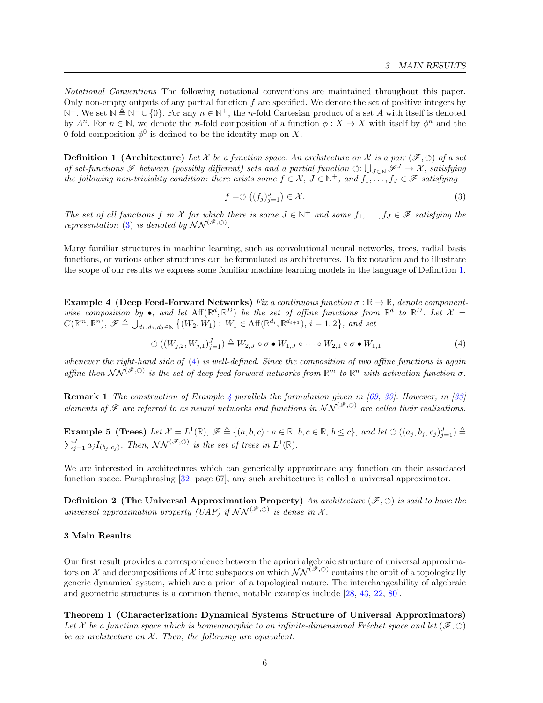Notational Conventions The following notational conventions are maintained throughout this paper. Only non-empty outputs of any partial function  $f$  are specified. We denote the set of positive integers by  $\mathbb{N}^+$ . We set  $\mathbb{N} \triangleq \mathbb{N}^+ \cup \{0\}$ . For any  $n \in \mathbb{N}^+$ , the *n*-fold Cartesian product of a set A with itself is denoted by  $A^n$ . For  $n \in \mathbb{N}$ , we denote the *n*-fold composition of a function  $\phi: X \to X$  with itself by  $\phi^n$  and the 0-fold composition  $\phi^0$  is defined to be the identity map on X.

<span id="page-5-2"></span>**Definition 1** (Architecture) Let X be a function space. An architecture on X is a pair  $(\mathscr{F}, \circ)$  of a set of set-functions  $\mathscr F$  between (possibly different) sets and a partial function  $\circlearrowleft: \bigcup_{J\in\mathbb N}\mathscr F^J\to \mathcal X$ , satisfying the following non-triviality condition: there exists some  $f \in \mathcal{X}, J \in \mathbb{N}^+$ , and  $f_1, \ldots, f_J \in \mathcal{F}$  satisfying

<span id="page-5-1"></span>
$$
f = \circlearrowleft ((f_j)_{j=1}^J) \in \mathcal{X}.
$$
\n<sup>(3)</sup>

The set of all functions f in X for which there is some  $J \in \mathbb{N}^+$  and some  $f_1, \ldots, f_J \in \mathscr{F}$  satisfying the representation [\(3\)](#page-5-1) is denoted by  $\mathcal{NN}^{(\mathscr{F}, \circlearrowleft)}$ .

Many familiar structures in machine learning, such as convolutional neural networks, trees, radial basis functions, or various other structures can be formulated as architectures. To fix notation and to illustrate the scope of our results we express some familiar machine learning models in the language of Definition [1.](#page-5-2)

<span id="page-5-4"></span>Example 4 (Deep Feed-Forward Networks) Fix a continuous function  $\sigma : \mathbb{R} \to \mathbb{R}$ , denote componentwise composition by  $\bullet$ , and let  $Aff(\mathbb{R}^d, \mathbb{R}^D)$  be the set of affine functions from  $\mathbb{R}^d$  to  $\mathbb{R}^D$ . Let  $\mathcal{X} =$  $C(\mathbb{R}^m, \mathbb{R}^n)$ ,  $\mathscr{F} \triangleq \bigcup_{d_1, d_2, d_3 \in \mathbb{N}} \left\{ (W_2, W_1) : W_1 \in \text{Aff}(\mathbb{R}^{d_i}, \mathbb{R}^{d_{i+1}}), i = 1, 2 \right\}$ , and set

<span id="page-5-3"></span>
$$
\circlearrowleft ((W_{j,2}, W_{j,1})_{j=1}^J) \triangleq W_{2,J} \circ \sigma \bullet W_{1,J} \circ \cdots \circ W_{2,1} \circ \sigma \bullet W_{1,1} \tag{4}
$$

whenever the right-hand side of [\(4\)](#page-5-3) is well-defined. Since the composition of two affine functions is again affine then  $NN^{(\mathscr{F},\circlearrowleft)}$  is the set of deep feed-forward networks from  $\mathbb{R}^m$  to  $\mathbb{R}^n$  with activation function  $\sigma$ .

**Remark 1** The construction of Example [4](#page-5-4) parallels the formulation given in [\[69,](#page-17-9) [33\]](#page-15-15). However, in [\[33\]](#page-15-15) elements of  $\mathscr F$  are referred to as neural networks and functions in  $N N^{(\mathscr F,\circ)}$  are called their realizations.

**Example 5 (Trees)** Let  $\mathcal{X} = L^1(\mathbb{R})$ ,  $\mathcal{F} \triangleq \{(a, b, c) : a \in \mathbb{R}, b, c \in \mathbb{R}, b \leq c\}$ , and let  $\circlearrowleft((a_j, b_j, c_j)_{j=1}^J) \triangleq$  $\sum_{j=1}^{J} a_j I_{(b_j, c_j)}$ . Then,  $NN^{(\mathscr{F}, \circlearrowleft)}$  is the set of trees in  $L^1(\mathbb{R})$ .

We are interested in architectures which can generically approximate any function on their associated function space. Paraphrasing [\[32,](#page-15-16) page 67], any such architecture is called a universal approximator.

**Definition 2** (The Universal Approximation Property) An architecture  $(\mathscr{F}, \circlearrowleft)$  is said to have the universal approximation property (UAP) if  $NN^{(\mathscr{F}, \circlearrowleft)}$  is dense in X.

## <span id="page-5-0"></span>3 Main Results

Our first result provides a correspondence between the apriori algebraic structure of universal approximators on X and decompositions of X into subspaces on which  $NN^{(\mathscr{F},\circ)}$  contains the orbit of a topologically generic dynamical system, which are a priori of a topological nature. The interchangeability of algebraic and geometric structures is a common theme, notable examples include [\[28,](#page-15-17) [43,](#page-16-17) [22,](#page-15-18) [80\]](#page-17-10).

<span id="page-5-5"></span>Theorem 1 (Characterization: Dynamical Systems Structure of Universal Approximators) Let X be a function space which is homeomorphic to an infinite-dimensional Fréchet space and let  $(\mathscr{F}, \circlearrowleft)$ be an architecture on  $X$ . Then, the following are equivalent: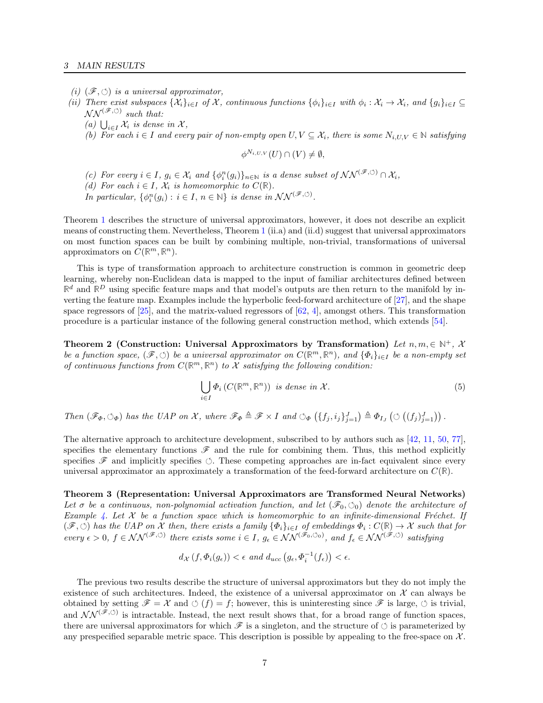- (i)  $(\mathscr{F}, \circlearrowleft)$  is a universal approximator,
- (ii) There exist subspaces  $\{\mathcal{X}_i\}_{i\in I}$  of  $\mathcal{X}$ , continuous functions  $\{\phi_i\}_{i\in I}$  with  $\phi_i:\mathcal{X}_i\to\mathcal{X}_i$ , and  $\{g_i\}_{i\in I}\subseteq$  $NN^{(\mathscr{F},\circlearrowleft)}$  such that:
	- (a)  $\bigcup_{i\in I} \mathcal{X}_i$  is dense in X,
	- (b) For each  $i \in I$  and every pair of non-empty open  $U, V \subseteq \mathcal{X}_i$ , there is some  $N_{i, U, V} \in \mathbb{N}$  satisfying

$$
\phi^{N_{i,U,V}}(U) \cap (V) \neq \emptyset,
$$

- (c) For every  $i \in I$ ,  $g_i \in \mathcal{X}_i$  and  $\{\phi_i^n(g_i)\}_{n \in \mathbb{N}}$  is a dense subset of  $\mathcal{NN}^{(\mathscr{F}, \circlearrowleft)} \cap \mathcal{X}_i$ ,
- (d) For each  $i \in I$ ,  $\mathcal{X}_i$  is homeomorphic to  $C(\mathbb{R})$ .

In particular,  $\{\phi_i^n(g_i): i \in I, n \in \mathbb{N}\}\$ is dense in  $\mathcal{NN}^{(\mathscr{F}, \circ)}$ .

Theorem [1](#page-5-5) describes the structure of universal approximators, however, it does not describe an explicit means of constructing them. Nevertheless, Theorem [1](#page-5-5) (ii.a) and (ii.d) suggest that universal approximators on most function spaces can be built by combining multiple, non-trivial, transformations of universal approximators on  $C(\mathbb{R}^m, \mathbb{R}^n)$ .

This is type of transformation approach to architecture construction is common in geometric deep learning, whereby non-Euclidean data is mapped to the input of familiar architectures defined between  $\mathbb{R}^d$  and  $\mathbb{R}^D$  using specific feature maps and that model's outputs are then return to the manifold by inverting the feature map. Examples include the hyperbolic feed-forward architecture of [\[27\]](#page-15-7), and the shape space regressors of  $[25]$ , and the matrix-valued regressors of  $[62, 4]$  $[62, 4]$  $[62, 4]$ , amongst others. This transformation procedure is a particular instance of the following general construction method, which extends [\[54\]](#page-16-16).

Theorem 2 (Construction: Universal Approximators by Transformation) Let  $n, m \in \mathbb{N}^+$ , X be a function space,  $(\mathscr{F}, \circlearrowleft)$  be a universal approximator on  $C(\mathbb{R}^m, \mathbb{R}^n)$ , and  $\{\Phi_i\}_{i\in I}$  be a non-empty set of continuous functions from  $C(\mathbb{R}^m,\mathbb{R}^n)$  to X satisfying the following condition:

<span id="page-6-3"></span><span id="page-6-2"></span><span id="page-6-0"></span>
$$
\bigcup_{i \in I} \Phi_i \left( C(\mathbb{R}^m, \mathbb{R}^n) \right) \text{ is dense in } \mathcal{X}. \tag{5}
$$

Then  $(\mathscr{F}_{\Phi}, \circlearrowleft_{\Phi})$  has the UAP on X, where  $\mathscr{F}_{\Phi} \triangleq \mathscr{F} \times I$  and  $\circlearrowleft_{\Phi} (\{f_j, i_j\}_{j=1}^J) \triangleq \Phi_{I_J} (\circlearrowleft ( (f_j)_{j=1}^J) )$ .

The alternative approach to architecture development, subscribed to by authors such as [\[42,](#page-16-19) [11,](#page-14-6) [50,](#page-16-20) [77\]](#page-17-11), specifies the elementary functions  $\mathscr F$  and the rule for combining them. Thus, this method explicitly specifies  $\mathscr F$  and implicitly specifies  $\Diamond$ . These competing approaches are in-fact equivalent since every universal approximator an approximately a transformation of the feed-forward architecture on C(**R**).

Theorem 3 (Representation: Universal Approximators are Transformed Neural Networks) Let  $\sigma$  be a continuous, non-polynomial activation function, and let  $(\mathscr{F}_0, \circ_{0})$  denote the architecture of Example [4.](#page-5-4) Let  $X$  be a function space which is homeomorphic to an infinite-dimensional Fréchet. If  $(\mathscr{F}, \circledcirc)$  has the UAP on  $\mathcal X$  then, there exists a family  $\{\Phi_i\}_{i\in I}$  of embeddings  $\Phi_i : C(\mathbb{R}) \to \mathcal X$  such that for  $\text{every } \epsilon > 0, \ f \in \mathcal{NN}^{(\mathscr{F}, \circlearrowleft)} \ \text{there exists some } i \in I, \ g_\epsilon \in \mathcal{NN}^{(\mathscr{F}_0, \circlearrowleft_0)}, \ \text{and } f_\epsilon \in \mathcal{NN}^{(\mathscr{F}, \circlearrowleft)} \ \text{satisfying}$ 

$$
d_{\mathcal{X}}(f, \Phi_i(g_{\epsilon})) < \epsilon \ and \ d_{ucc}(g_{\epsilon}, \Phi_i^{-1}(f_{\epsilon})) < \epsilon.
$$

<span id="page-6-1"></span>The previous two results describe the structure of universal approximators but they do not imply the existence of such architectures. Indeed, the existence of a universal approximator on  $\mathcal X$  can always be obtained by setting  $\mathscr{F} = \mathscr{X}$  and  $\circlearrowleft (f) = f$ ; however, this is uninteresting since  $\mathscr{F}$  is large,  $\circlearrowleft$  is trivial, and  $NN^{(\tilde{\mathscr{F}},\circ)}$  is intractable. Instead, the next result shows that, for a broad range of function spaces, there are universal approximators for which  $\mathscr F$  is a singleton, and the structure of  $\circlearrowleft$  is parameterized by any prespecified separable metric space. This description is possible by appealing to the free-space on  $\mathcal{X}$ .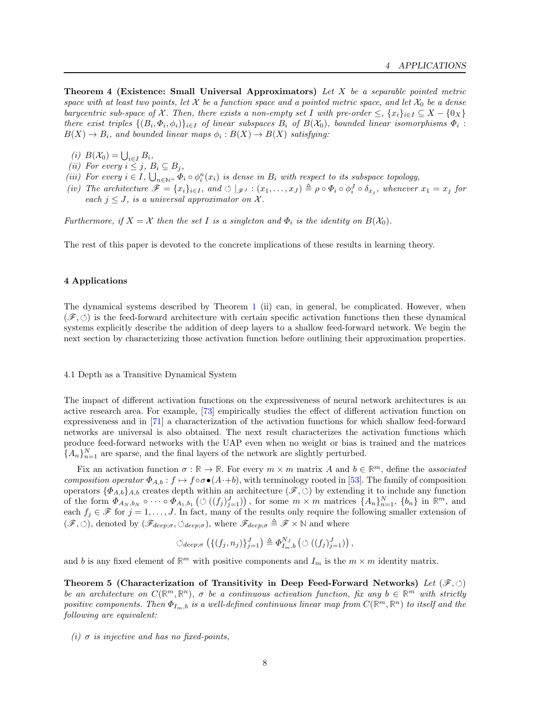**Theorem 4 (Existence: Small Universal Approximators)** Let  $X$  be a separable pointed metric space with at least two points, let X be a function space and a pointed metric space, and let  $\mathcal{X}_0$  be a dense barycentric sub-space of X. Then, there exists a non-empty set I with pre-order  $\leq$ ,  $\{x_i\}_{i\in I} \subseteq X - \{0_X\}$ there exist triples  $\{(B_i, \Phi_i, \phi_i)\}_{i \in I}$  of linear subspaces  $B_i$  of  $B(\mathcal{X}_0)$ , bounded linear isomorphisms  $\Phi_i$ :  $B(X) \to B_i$ , and bounded linear maps  $\phi_i : B(X) \to B(X)$  satisfying:

- (i)  $B(\mathcal{X}_0) = \bigcup_{i \in I} B_i,$
- (ii) For every  $i \leq j$ ,  $B_i \subseteq B_j$ ,
- (iii) For every  $i \in I$ ,  $\bigcup_{n \in \mathbb{N}^+} \Phi_i \circ \phi_i^n(x_i)$  is dense in  $B_i$  with respect to its subspace topology,
- (iv) The architecture  $\mathscr{F} = \{x_i\}_{i \in I}$ , and  $\circlearrowleft |_{\mathscr{F}^J} : (x_1, \ldots, x_J) \triangleq \rho \circ \Phi_i \circ \phi_i^J \circ \delta_{x_j}$ , whenever  $x_1 = x_j$  for each  $j \leq J$ , is a universal approximator on X.

Furthermore, if  $X = \mathcal{X}$  then the set I is a singleton and  $\Phi_i$  is the identity on  $B(\mathcal{X}_0)$ .

The rest of this paper is devoted to the concrete implications of these results in learning theory.

#### <span id="page-7-0"></span>4 Applications

The dynamical systems described by Theorem [1](#page-5-5) (ii) can, in general, be complicated. However, when  $(\mathscr{F}, \circlearrowleft)$  is the feed-forward architecture with certain specific activation functions then these dynamical systems explicitly describe the addition of deep layers to a shallow feed-forward network. We begin the next section by characterizing those activation function before outlining their approximation properties.

#### 4.1 Depth as a Transitive Dynamical System

The impact of different activation functions on the expressiveness of neural network architectures is an active research area. For example, [\[73\]](#page-17-12) empirically studies the effect of different activation function on expressiveness and in [\[71\]](#page-17-13) a characterization of the activation functions for which shallow feed-forward networks are universal is also obtained. The next result characterizes the activation functions which produce feed-forward networks with the UAP even when no weight or bias is trained and the matrices  ${A_n}_{n=1}^N$  are sparse, and the final layers of the network are slightly perturbed.

Fix an activation function  $\sigma : \mathbb{R} \to \mathbb{R}$ . For every  $m \times m$  matrix A and  $b \in \mathbb{R}^m$ , define the associated composition operator  $\Phi_{A,b}: f \mapsto f \circ \sigma \bullet (A \cdot b)$ , with terminology rooted in [\[53\]](#page-16-21). The family of composition operators  $\{\Phi_{A,b}\}_A$ , creates depth within an architecture  $(\mathscr{F}, \circlearrowleft)$  by extending it to include any function of the form  $\Phi_{A_N,b_N} \circ \cdots \circ \Phi_{A_1,b_1} \left( \circlearrowleft ((f_j)_{j=1}^J) \right)$ , for some  $m \times m$  matrices  $\{A_n\}_{n=1}^N$ ,  $\{b_n\}$  in  $\mathbb{R}^m$ , and each  $f_j \in \mathscr{F}$  for  $j = 1, \ldots, J$ . In fact, many of the results only require the following smaller extension of  $(\mathscr{F}, \circlearrowleft)$ , denoted by  $(\mathscr{F}_{deep; \sigma}, \circlearrowright_{deep; \sigma})$ , where  $\mathscr{F}_{deep; \sigma} \triangleq \mathscr{F} \times \mathbb{N}$  and where

<span id="page-7-1"></span>
$$
\circlearrowleft_{deep;\sigma} \left( \{ (f_j, n_j) \}_{j=1}^J \right) \triangleq \Phi_{I_m,b}^{N_J} \left( \circlearrowleft ( (f_j)_{j=1}^J \right) \right),
$$

and b is any fixed element of  $\mathbb{R}^m$  with positive components and  $I_m$  is the  $m \times m$  identity matrix.

Theorem 5 (Characterization of Transitivity in Deep Feed-Forward Networks) Let  $(\mathscr{F}, \circlearrowleft)$ be an architecture on  $C(\mathbb{R}^m, \mathbb{R}^n)$ ,  $\sigma$  be a continuous activation function, fix any  $b \in \mathbb{R}^m$  with strictly positive components. Then  $\Phi_{I_m,b}$  is a well-defined continuous linear map from  $C(\mathbb{R}^m,\mathbb{R}^n)$  to itself and the following are equivalent:

(i)  $\sigma$  is injective and has no fixed-points,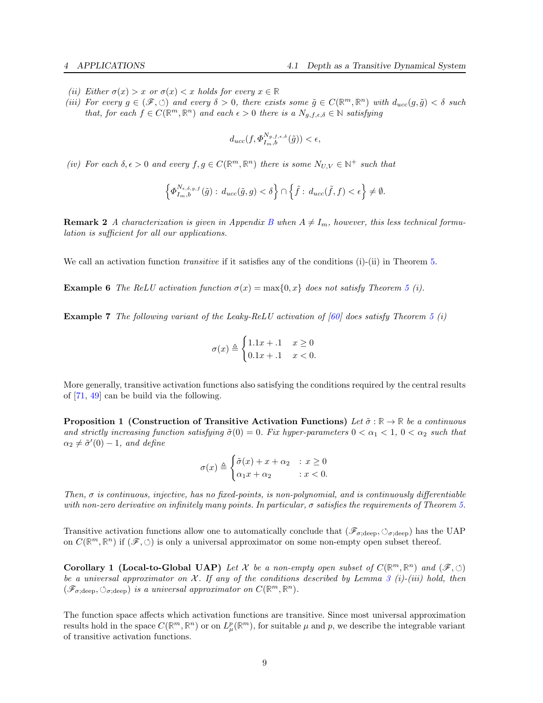- (*ii*) Either  $\sigma(x) > x$  or  $\sigma(x) < x$  holds for every  $x \in \mathbb{R}$
- (iii) For every  $g \in (\mathscr{F}, \circlearrowleft)$  and every  $\delta > 0$ , there exists some  $\tilde{g} \in C(\mathbb{R}^m, \mathbb{R}^n)$  with  $d_{ucc}(g, \tilde{g}) < \delta$  such that, for each  $f \in C(\mathbb{R}^m, \mathbb{R}^n)$  and each  $\epsilon > 0$  there is a  $N_{g,f,\epsilon,\delta} \in \mathbb{N}$  satisfying

$$
d_{ucc}(f, \Phi_{I_m, b}^{N_{g,f,\epsilon,\delta}}(\tilde{g})) < \epsilon,
$$

(iv) For each  $\delta, \epsilon > 0$  and every  $f, g \in C(\mathbb{R}^m, \mathbb{R}^n)$  there is some  $N_{U,V} \in \mathbb{N}^+$  such that

$$
\left\{\varPhi^{N_{\epsilon,\delta,g,f}}_{I_m,b}(\tilde{g}): \, d_{ucc}(\tilde{g},g)<\delta\right\}\cap \left\{\tilde{f}:\, d_{ucc}(\tilde{f},f)<\epsilon\right\}\neq \emptyset.
$$

**Remark 2** A characterization is given in Appendix [B](#page-23-0) when  $A \neq I_m$ , however, this less technical formulation is sufficient for all our applications.

We call an activation function *transitive* if it satisfies any of the conditions (i)-(ii) in Theorem [5.](#page-7-1)

**Example 6** The ReLU activation function  $\sigma(x) = \max\{0, x\}$  does not satisfy Theorem [5](#page-7-1) (i).

<span id="page-8-1"></span>**Example 7** The following variant of the Leaky-ReLU activation of [\[60\]](#page-16-22) does satisfy Theorem [5](#page-7-1) (i)

<span id="page-8-0"></span>
$$
\sigma(x) \triangleq \begin{cases} 1.1x + .1 & x \ge 0 \\ 0.1x + .1 & x < 0. \end{cases}
$$

More generally, transitive activation functions also satisfying the conditions required by the central results of [\[71,](#page-17-13) [49\]](#page-16-6) can be build via the following.

**Proposition 1** (Construction of Transitive Activation Functions) Let  $\tilde{\sigma} : \mathbb{R} \to \mathbb{R}$  be a continuous and strictly increasing function satisfying  $\tilde{\sigma}(0) = 0$ . Fix hyper-parameters  $0 < \alpha_1 < 1$ ,  $0 < \alpha_2$  such that  $\alpha_2 \neq \tilde{\sigma}'(0) - 1$ , and define

<span id="page-8-2"></span>
$$
\sigma(x) \triangleq \begin{cases} \tilde{\sigma}(x) + x + \alpha_2 & : x \ge 0 \\ \alpha_1 x + \alpha_2 & : x < 0. \end{cases}
$$

Then,  $\sigma$  is continuous, injective, has no fixed-points, is non-polynomial, and is continuously differentiable with non-zero derivative on infinitely many points. In particular,  $\sigma$  satisfies the requirements of Theorem [5.](#page-7-1)

Transitive activation functions allow one to automatically conclude that  $(\mathscr{F}_{\sigma;\text{deep}})$ ,  $\circlearrowleft_{\sigma;\text{deep}})$  has the UAP on  $C(\mathbb{R}^m,\mathbb{R}^n)$  if  $(\mathscr{F},\circlearrowleft)$  is only a universal approximator on some non-empty open subset thereof.

**Corollary 1 (Local-to-Global UAP)** Let X be a non-empty open subset of  $C(\mathbb{R}^m, \mathbb{R}^n)$  and  $(\mathscr{F}, \circlearrowleft)$ be a universal approximator on  $\mathcal X$ . If any of the conditions described by Lemma [3](#page-23-1) (i)-(iii) hold, then  $(\mathscr{F}_{\sigma;\text{deep}}, \circlearrowleft_{\sigma;\text{deep}})$  is a universal approximator on  $C(\mathbb{R}^m, \mathbb{R}^n)$ .

The function space affects which activation functions are transitive. Since most universal approximation results hold in the space  $C(\mathbb{R}^m, \mathbb{R}^n)$  or on  $L^p_\mu(\mathbb{R}^m)$ , for suitable  $\mu$  and  $p$ , we describe the integrable variant of transitive activation functions.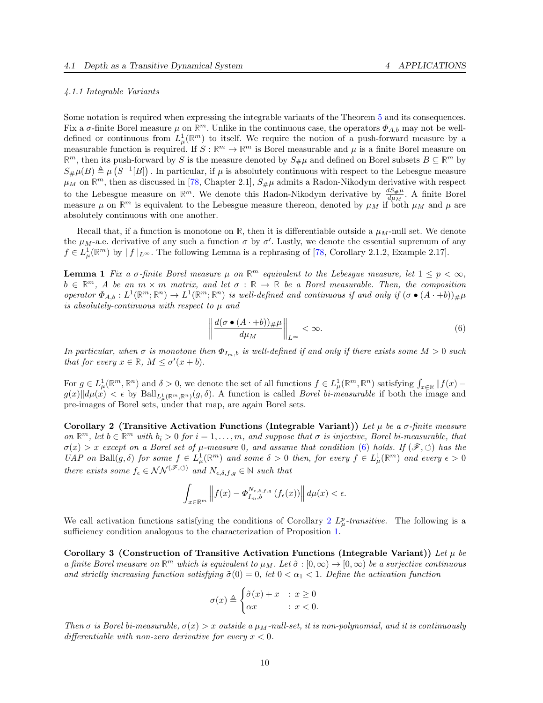## 4.1.1 Integrable Variants

Some notation is required when expressing the integrable variants of the Theorem [5](#page-7-1) and its consequences. Fix a  $\sigma$ -finite Borel measure  $\mu$  on  $\mathbb{R}^m$ . Unlike in the continuous case, the operators  $\Phi_{A,b}$  may not be welldefined or continuous from  $L^1_\mu(\mathbb{R}^m)$  to itself. We require the notion of a push-forward measure by a measurable function is required. If  $S : \mathbb{R}^m \to \mathbb{R}^m$  is Borel measurable and  $\mu$  is a finite Borel measure on  $\mathbb{R}^m$ , then its push-forward by S is the measure denoted by  $S_{\#}\mu$  and defined on Borel subsets  $B \subseteq \mathbb{R}^m$  by  $S_{\#}\mu(B) \triangleq \mu(S^{-1}[B])$ . In particular, if  $\mu$  is absolutely continuous with respect to the Lebesgue measure  $\mu_M$  on  $\mathbb{R}^m$ , then as discussed in [\[78,](#page-17-14) Chapter 2.1],  $S_{\#}\mu$  admits a Radon-Nikodym derivative with respect to the Lebesgue measure on  $\mathbb{R}^m$ . We denote this Radon-Nikodym derivative by  $\frac{dS_{\#}\mu}{d\mu_M}$ . A finite Borel measure  $\mu$  on  $\mathbb{R}^m$  is equivalent to the Lebesgue measure thereon, denoted by  $\mu_M$  if both  $\mu_M$  and  $\mu$  are absolutely continuous with one another.

Recall that, if a function is monotone on  $\mathbb{R}$ , then it is differentiable outside a  $\mu_M$ -null set. We denote the  $\mu_M$ -a.e. derivative of any such a function  $\sigma$  by  $\sigma'$ . Lastly, we denote the essential supremum of any  $f \in L^1_\mu(\mathbb{R}^m)$  by  $||f||_{L^\infty}$ . The following Lemma is a rephrasing of [\[78,](#page-17-14) Corollary 2.1.2, Example 2.17].

**Lemma 1** Fix a  $\sigma$ -finite Borel measure  $\mu$  on  $\mathbb{R}^m$  equivalent to the Lebesgue measure, let  $1 \leq p < \infty$ ,  $b \in \mathbb{R}^m$ , A be an  $m \times m$  matrix, and let  $\sigma : \mathbb{R} \to \mathbb{R}$  be a Borel measurable. Then, the composition operator  $\Phi_{A,b}: L^1(\mathbb{R}^m;\mathbb{R}^n) \to L^1(\mathbb{R}^m;\mathbb{R}^n)$  is well-defined and continuous if and only if  $(\sigma \bullet (A \cdot +b))_{\#} \mu$ is absolutely-continuous with respect to  $\mu$  and

<span id="page-9-2"></span><span id="page-9-1"></span><span id="page-9-0"></span>
$$
\left\| \frac{d(\sigma \bullet (A \cdot b))_\# \mu}{d\mu_M} \right\|_{L^\infty} < \infty. \tag{6}
$$

In particular, when  $\sigma$  is monotone then  $\Phi_{I_m,b}$  is well-defined if and only if there exists some  $M > 0$  such that for every  $x \in \mathbb{R}$ ,  $M \leq \sigma'(x+b)$ .

For  $g \in L^1_\mu(\mathbb{R}^m, \mathbb{R}^n)$  and  $\delta > 0$ , we denote the set of all functions  $f \in L^1_\mu(\mathbb{R}^m, \mathbb{R}^n)$  satisfying  $\int_{x \in \mathbb{R}} ||f(x) - f(x)||$  $g(x)\|d\mu(x) < \epsilon$  by  $\text{Ball}_{L^1_\mu(\mathbb{R}^m,\mathbb{R}^n)}(g,\delta)$ . A function is called *Borel bi-measurable* if both the image and pre-images of Borel sets, under that map, are again Borel sets.

Corollary 2 (Transitive Activation Functions (Integrable Variant)) Let  $\mu$  be a  $\sigma$ -finite measure on  $\mathbb{R}^m$ , let  $b \in \mathbb{R}^m$  with  $b_i > 0$  for  $i = 1, \ldots, m$ , and suppose that  $\sigma$  is injective, Borel bi-measurable, that  $\sigma(x) > x$  except on a Borel set of  $\mu$ -measure 0, and assume that condition [\(6\)](#page-9-0) holds. If  $(\mathscr{F}, \circlearrowleft)$  has the UAP on Ball $(g, \delta)$  for some  $f \in L^1_\mu(\mathbb{R}^m)$  and some  $\delta > 0$  then, for every  $f \in L^1_\mu(\mathbb{R}^m)$  and every  $\epsilon > 0$ there exists some  $f_{\epsilon} \in \mathcal{NN}^{(\mathscr{F}, \circlearrowleft)}$  and  $N_{\epsilon,\delta,f,g} \in \mathbb{N}$  such that

$$
\int_{x \in \mathbb{R}^m} \left\| f(x) - \varPhi_{I_m, b}^{N_{\epsilon, \delta, f, g}} \left( f_{\epsilon}(x) \right) \right\| d\mu(x) < \epsilon.
$$

We call activation functions satisfying the conditions of Corollary [2](#page-9-1)  $L^p_\mu$ -transitive. The following is a sufficiency condition analogous to the characterization of Proposition [1.](#page-8-0)

Corollary 3 (Construction of Transitive Activation Functions (Integrable Variant)) Let  $\mu$  be a finite Borel measure on  $\mathbb{R}^m$  which is equivalent to  $\mu_M$ . Let  $\tilde{\sigma}: [0, \infty) \to [0, \infty)$  be a surjective continuous and strictly increasing function satisfying  $\tilde{\sigma}(0) = 0$ , let  $0 < \alpha_1 < 1$ . Define the activation function

<span id="page-9-3"></span>
$$
\sigma(x) \triangleq \begin{cases} \tilde{\sigma}(x) + x & : x \ge 0 \\ \alpha x & : x < 0. \end{cases}
$$

Then  $\sigma$  is Borel bi-measurable,  $\sigma(x) > x$  outside a  $\mu_M$ -null-set, it is non-polynomial, and it is continuously differentiable with non-zero derivative for every  $x < 0$ .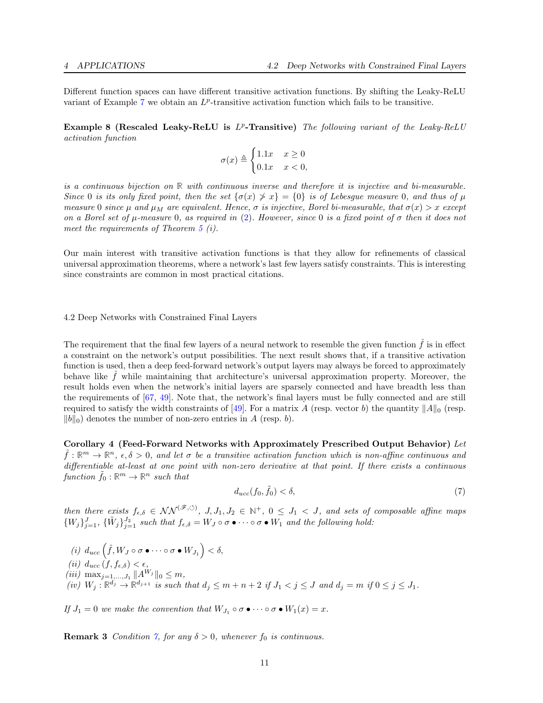Different function spaces can have different transitive activation functions. By shifting the Leaky-ReLU variant of Example [7](#page-8-1) we obtain an  $L^p$ -transitive activation function which fails to be transitive.

Example 8 (Rescaled Leaky-ReLU is  $L^p$ -Transitive) The following variant of the Leaky-ReLU activation function

$$
\sigma(x) \triangleq \begin{cases} 1.1x & x \ge 0 \\ 0.1x & x < 0, \end{cases}
$$

is a continuous bijection on **R** with continuous inverse and therefore it is injective and bi-measurable. Since 0 is its only fixed point, then the set  $\{\sigma(x) \geq x\} = \{0\}$  is of Lebesgue measure 0, and thus of  $\mu$ measure 0 since  $\mu$  and  $\mu_M$  are equivalent. Hence,  $\sigma$  is injective, Borel bi-measurable, that  $\sigma(x) > x$  except on a Borel set of  $\mu$ -measure 0, as required in [\(2\)](#page-9-1). However, since 0 is a fixed point of  $\sigma$  then it does not meet the requirements of Theorem [5](#page-7-1) (i).

Our main interest with transitive activation functions is that they allow for refinements of classical universal approximation theorems, where a network's last few layers satisfy constraints. This is interesting since constraints are common in most practical citations.

## 4.2 Deep Networks with Constrained Final Layers

The requirement that the final few layers of a neural network to resemble the given function  $\hat{f}$  is in effect a constraint on the network's output possibilities. The next result shows that, if a transitive activation function is used, then a deep feed-forward network's output layers may always be forced to approximately behave like  $f$  while maintaining that architecture's universal approximation property. Moreover, the result holds even when the network's initial layers are sparsely connected and have breadth less than the requirements of [\[67,](#page-17-4) [49\]](#page-16-6). Note that, the network's final layers must be fully connected and are still required to satisfy the width constraints of [\[49\]](#page-16-6). For a matrix A (resp. vector b) the quantity  $||A||_0$  (resp.  $||b||_0$  denotes the number of non-zero entries in A (resp. b).

Corollary 4 (Feed-Forward Networks with Approximately Prescribed Output Behavior) Let  $\hat{f}: \mathbb{R}^m \to \mathbb{R}^n$ ,  $\epsilon, \delta > 0$ , and let  $\sigma$  be a transitive activation function which is non-affine continuous and differentiable at-least at one point with non-zero derivative at that point. If there exists a continuous  $function \tilde{f}_0 : \mathbb{R}^m \to \mathbb{R}^n$  such that

<span id="page-10-1"></span><span id="page-10-0"></span>
$$
d_{ucc}(f_0, \tilde{f}_0) < \delta,\tag{7}
$$

then there exists  $f_{\epsilon,\delta} \in \mathcal{NN}^{(\mathscr{F},\circlearrowleft)},$   $J, J_1, J_2 \in \mathbb{N}^+, 0 \leq J_1 < J$ , and sets of composable affine maps  $\{W_j\}_{j=1}^J$ ,  $\{\tilde{W}_j\}_{j=1}^{J_2}$  such that  $f_{\epsilon,\delta} = W_J \circ \sigma \bullet \cdots \circ \sigma \bullet W_1$  and the following hold:

(i)  $d_{ucc}(\hat{f}, W_J \circ \sigma \bullet \cdots \circ \sigma \bullet W_{J_1}) < \delta,$ (ii)  $d_{ucc}(f, f_{\epsilon,\delta}) < \epsilon$ , (*iii*) max<sub>j=1,..., $J_1$   $||A^{W_j}||_0 \leq m$ ,</sub> (iv)  $W_j : \mathbb{R}^{d_j} \to \mathbb{R}^{d_{j+1}}$  is such that  $d_j \leq m + n + 2$  if  $J_1 < j \leq J$  and  $d_j = m$  if  $0 \leq j \leq J_1$ .

If  $J_1 = 0$  we make the convention that  $W_{J_1} \circ \sigma \bullet \cdots \circ \sigma \bullet W_1(x) = x$ .

**Remark 3** Condition [7,](#page-10-0) for any  $\delta > 0$ , whenever  $f_0$  is continuous.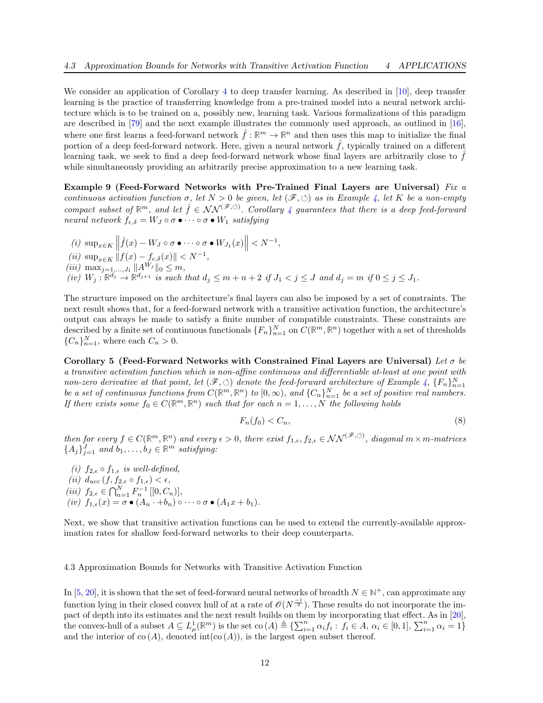We consider an application of Corollary [4](#page-10-1) to deep transfer learning. As described in [\[10\]](#page-14-7), deep transfer learning is the practice of transferring knowledge from a pre-trained model into a neural network architecture which is to be trained on a, possibly new, learning task. Various formalizations of this paradigm are described in [\[79\]](#page-17-15) and the next example illustrates the commonly used approach, as outlined in [\[16\]](#page-15-20), where one first learns a feed-forward network  $\hat{f}: \mathbb{R}^m \to \mathbb{R}^n$  and then uses this map to initialize the final portion of a deep feed-forward network. Here, given a neural network  $\hat{f}$ , typically trained on a different learning task, we seek to find a deep feed-forward network whose final layers are arbitrarily close to  $f$ while simultaneously providing an arbitrarily precise approximation to a new learning task.

Example 9 (Feed-Forward Networks with Pre-Trained Final Layers are Universal) Fix  $a$ continuous activation function  $\sigma$ , let  $N > 0$  be given, let  $(\mathscr{F}, \circlearrowleft)$  as in Example [4,](#page-5-4) let K be a non-empty compact subset of  $\mathbb{R}^m$ , and let  $\hat{f} \in NN^{(\mathscr{F}, \circ)}$ . Corollary [4](#page-10-1) guarantees that there is a deep feed-forward neural network  $f_{\epsilon,\delta} = W_J \circ \sigma \bullet \cdots \circ \sigma \bullet W_1$  satisfying

(i)  $\sup_{x \in K} \left\| \hat{f}(x) - W_J \circ \sigma \bullet \cdots \circ \sigma \bullet W_{J_1}(x) \right\| < N^{-1},$ (ii)  $\sup_{x \in K} ||f(x) - f_{\epsilon,\delta}(x)|| < N^{-1}$ , (*iii*)  $\max_{j=1,\dots,J_1} ||A^{W_j}||_0 \leq m$ , (iv)  $W_j : \mathbb{R}^{d_j} \to \mathbb{R}^{d_{j+1}}$  is such that  $d_j \leq m+n+2$  if  $J_1 < j \leq J$  and  $d_j = m$  if  $0 \leq j \leq J_1$ .

The structure imposed on the architecture's final layers can also be imposed by a set of constraints. The next result shows that, for a feed-forward network with a transitive activation function, the architecture's output can always be made to satisfy a finite number of compatible constraints. These constraints are described by a finite set of continuous functionals  $\{F_n\}_{n=1}^N$  on  $C(\mathbb{R}^m, \mathbb{R}^n)$  together with a set of thresholds  ${C_n}_{n=1}^N$ , where each  $C_n > 0$ .

Corollary 5 (Feed-Forward Networks with Constrained Final Layers are Universal) Let  $\sigma$  be a transitive activation function which is non-affine continuous and differentiable at-least at one point with non-zero derivative at that point, let  $(\mathscr{F}, \circlearrowleft)$  denote the feed-forward architecture of Example [4,](#page-5-4)  $\{F_n\}_{n=1}^N$ be a set of continuous functions from  $C(\mathbb{R}^m, \mathbb{R}^n)$  to  $[0, \infty)$ , and  $\{C_n\}_{n=1}^N$  be a set of positive real numbers. If there exists some  $f_0 \in C(\mathbb{R}^m, \mathbb{R}^n)$  such that for each  $n = 1, ..., N$  the following holds

<span id="page-11-2"></span><span id="page-11-1"></span><span id="page-11-0"></span>
$$
F_n(f_0) < C_n,\tag{8}
$$

then for every  $f \in C(\mathbb{R}^m, \mathbb{R}^n)$  and every  $\epsilon > 0$ , there exist  $f_{1,\epsilon}, f_{2,\epsilon} \in \mathcal{NN}^{(\mathscr{F}, \circlearrowleft)}$ , diagonal  $m \times m$ -matrices  ${A_j}_{j=1}^J$  and  $b_1, \ldots, b_J \in \mathbb{R}^m$  satisfying:

(i)  $f_{2,\epsilon} \circ f_{1,\epsilon}$  is well-defined, (ii)  $d_{ucc}(f, f_{2,\epsilon} \circ f_{1,\epsilon}) < \epsilon$ , (iii)  $f_{2,\epsilon} \in \bigcap_{n=1}^{N} F_n^{-1} [[0, C_n)],$ (iv)  $f_{1,\epsilon}(x) = \sigma \bullet (A_n \cdot +b_n) \circ \cdots \circ \sigma \bullet (A_1x +b_1).$ 

Next, we show that transitive activation functions can be used to extend the currently-available approximation rates for shallow feed-forward networks to their deep counterparts.

#### 4.3 Approximation Bounds for Networks with Transitive Activation Function

In [\[5,](#page-14-8) [20\]](#page-15-21), it is shown that the set of feed-forward neural networks of breadth  $N \in \mathbb{N}^+$ , can approximate any function lying in their closed convex hull of at a rate of  $\mathscr{O}(N^{-1})$ . These results do not incorporate the impact of depth into its estimates and the next result builds on them by incorporating that effect. As in [\[20\]](#page-15-21), the convex-hull of a subset  $A \subseteq L^1_\mu(\mathbb{R}^m)$  is the set  $\text{co}(A) \triangleq \{\sum_{i=1}^n \alpha_i f_i : f_i \in A, \alpha_i \in [0,1], \sum_{i=1}^n \alpha_i = 1\}$ and the interior of  $\text{co}(A)$ , denoted  $\text{int}(\text{co}(A))$ , is the largest open subset thereof.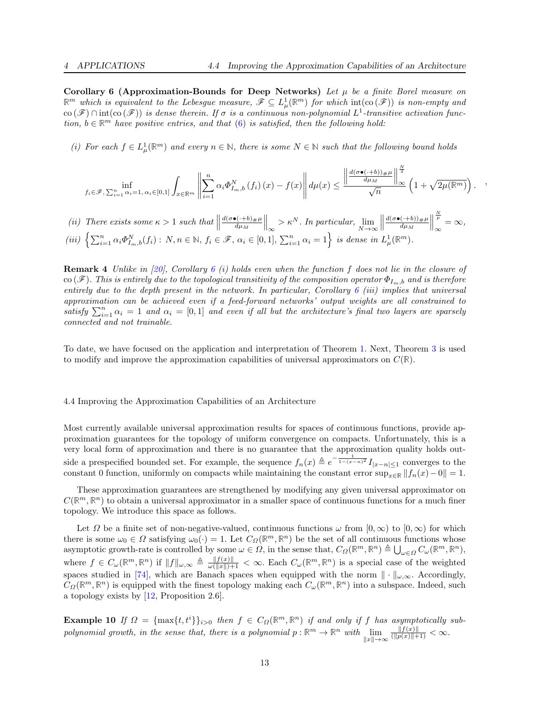,

Corollary 6 (Approximation-Bounds for Deep Networks) Let  $\mu$  be a finite Borel measure on  $\mathbb{R}^m$  which is equivalent to the Lebesgue measure,  $\mathscr{F} \subseteq L^1_\mu(\mathbb{R}^m)$  for which  $\text{int}(\text{co}(\mathscr{F}))$  is non-empty and co  $(\mathscr{F}) \cap \text{int}(\text{co}(\mathscr{F}))$  is dense therein. If  $\sigma$  is a continuous non-polynomial  $L^1$ -transitive activation function,  $b \in \mathbb{R}^m$  have positive entries, and that [\(6\)](#page-9-0) is satisfied, then the following hold:

(i) For each  $f \in L^1_\mu(\mathbb{R}^m)$  and every  $n \in \mathbb{N}$ , there is some  $N \in \mathbb{N}$  such that the following bound holds

$$
\inf_{f_i \in \mathscr{F}, \sum_{i=1}^n \alpha_i = 1, \, \alpha_i \in [0,1]} \int_{x \in \mathbb{R}^m} \left\| \sum_{i=1}^n \alpha_i \Phi_{I_m,b}^N \left(f_i\right)(x) - f(x) \right\| d\mu(x) \le \frac{\left\| \frac{d(\sigma \bullet (\cdot + b))_\# \mu}{d \mu_M} \right\|_\infty^{\frac{N}{2}}}{\sqrt{n}} \left(1 + \sqrt{2\mu(\mathbb{R}^m)}\right).
$$

(ii) There exists some  $\kappa > 1$  such that  $\parallel$  $d(\sigma \bullet (\cdot + b)_{\#} \mu$  $\left\|\frac{\rho(\cdot+b)\#\mu}{d\mu_M}\right\|_{\infty} > \kappa^N$ . In particular,  $\lim_{N \to \infty}$  $\begin{array}{c} \hline \end{array}$  $d(\sigma\bullet(\cdot+b))_{\#}\mu$  $\frac{(\cdot+b))_{\#}\mu}{d\mu_M}$  $\frac{N}{p}$  $\frac{p}{\infty} = \infty,$ (iii)  $\left\{\sum_{i=1}^n \alpha_i \Phi_{I_m,b}^N(f_i) : N, n \in \mathbb{N}, f_i \in \mathcal{F}, \alpha_i \in [0,1], \sum_{i=1}^n \alpha_i = 1\right\}$  is dense in  $L^1_\mu(\mathbb{R}^m)$ .

**Remark 4** Unlike in [\[20\]](#page-15-21), Corollary [6](#page-11-0) (i) holds even when the function f does not lie in the closure of co (F). This is entirely due to the topological transitivity of the composition operator  $\Phi_{I_m,b}$  and is therefore entirely due to the depth present in the network. In particular, Corollary [6](#page-11-0) (iii) implies that universal approximation can be achieved even if a feed-forward networks' output weights are all constrained to satisfy  $\sum_{i=1}^n \alpha_i = 1$  and  $\alpha_i = [0,1]$  and even if all but the architecture's final two layers are sparsely connected and not trainable.

To date, we have focused on the application and interpretation of Theorem [1.](#page-5-5) Next, Theorem [3](#page-6-0) is used to modify and improve the approximation capabilities of universal approximators on  $C(\mathbb{R})$ .

#### 4.4 Improving the Approximation Capabilities of an Architecture

Most currently available universal approximation results for spaces of continuous functions, provide approximation guarantees for the topology of uniform convergence on compacts. Unfortunately, this is a very local form of approximation and there is no guarantee that the approximation quality holds outside a prespecified bounded set. For example, the sequence  $f_n(x) \triangleq e^{-\frac{1}{1-(x-n)^2}} I_{|x-n| \leq 1}$  converges to the constant 0 function, uniformly on compacts while maintaining the constant error sup<sub>x∈R</sub>  $||f_n(x)-0|| = 1$ .

These approximation guarantees are strengthened by modifying any given universal approximator on  $C(\mathbb{R}^m,\mathbb{R}^n)$  to obtain a universal approximator in a smaller space of continuous functions for a much finer topology. We introduce this space as follows.

Let  $\Omega$  be a finite set of non-negative-valued, continuous functions  $\omega$  from  $[0,\infty)$  to  $[0,\infty)$  for which there is some  $\omega_0 \in \Omega$  satisfying  $\omega_0(\cdot) = 1$ . Let  $C_{\Omega}(\mathbb{R}^m, \mathbb{R}^n)$  be the set of all continuous functions whose asymptotic growth-rate is controlled by some  $\omega \in \Omega$ , in the sense that,  $C_{\Omega}(\mathbb{R}^m, \mathbb{R}^n) \triangleq \bigcup_{\omega \in \Omega} C_{\omega}(\mathbb{R}^m, \mathbb{R}^n)$ , where  $f \in C_{\omega}(\mathbb{R}^m, \mathbb{R}^n)$  if  $||f||_{\omega,\infty} \triangleq \frac{||f(x)||}{\omega(||x||)+1} < \infty$ . Each  $C_{\omega}(\mathbb{R}^m, \mathbb{R}^n)$  is a special case of the weighted spaces studied in [\[74\]](#page-17-16), which are Banach spaces when equipped with the norm  $\|\cdot\|_{\omega,\infty}$ . Accordingly,  $C_{\Omega}(\mathbb{R}^m, \mathbb{R}^n)$  is equipped with the finest topology making each  $C_{\omega}(\mathbb{R}^m, \mathbb{R}^n)$  into a subspace. Indeed, such a topology exists by [\[12,](#page-14-9) Proposition 2.6].

**Example 10** If  $\Omega = {\max\{t, t^i\}}_{i>0}$  then  $f \in C_{\Omega}(\mathbb{R}^m, \mathbb{R}^n)$  if and only if f has asymptotically subpolynomial growth, in the sense that, there is a polynomial  $p : \mathbb{R}^m \to \mathbb{R}^n$  with  $\lim_{\|x\| \to \infty}$  $\frac{\|f(x)\|}{(\|p(x)\|+1)} < \infty.$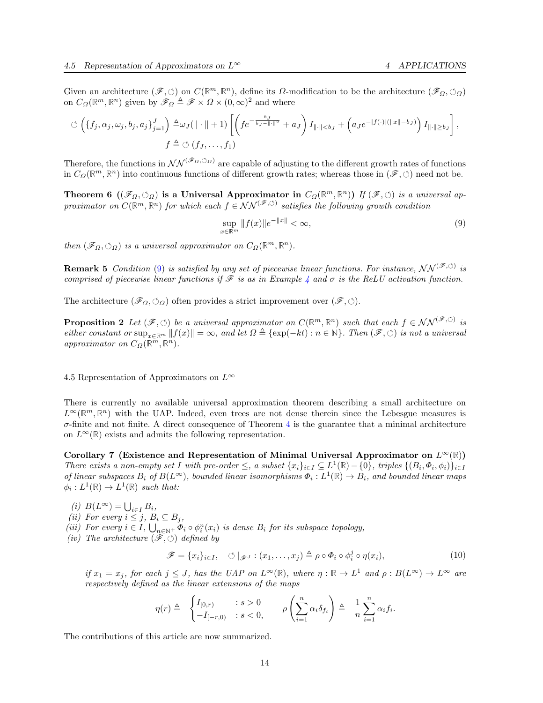Given an architecture  $(\mathscr{F}, \circlearrowleft)$  on  $C(\mathbb{R}^m, \mathbb{R}^n)$ , define its  $\Omega$ -modification to be the architecture  $(\mathscr{F}_\Omega, \circlearrowleft_\Omega)$ on  $C_{\Omega}(\mathbb{R}^m, \mathbb{R}^n)$  given by  $\mathscr{F}_{\Omega} \triangleq \mathscr{F} \times \Omega \times (0, \infty)^2$  and where

$$
\circlearrowleft \left( \{f_j,\alpha_j,\omega_j,b_j,a_j\}_{j=1}^J \right) \triangleq \omega_J(\|\cdot\|+1) \left[ \left( fe^{-\frac{b_J}{b_J-\|\cdot\|^2}}+a_J \right) I_{\|\cdot\|  

$$
f \triangleq \circlearrowleft (f_J,\ldots,f_1)
$$
$$

Therefore, the functions in  $\mathcal{NN}^{(\mathscr{F}_\Omega,\circlearrowleft_\Omega)}$  are capable of adjusting to the different growth rates of functions in  $C_{\Omega}(\mathbb{R}^m,\mathbb{R}^n)$  into continuous functions of different growth rates; whereas those in  $(\mathscr{F},\circlearrowleft)$  need not be.

**Theorem 6**  $((\mathscr{F}_{\Omega}, \circlearrowright_{\Omega})$  is a Universal Approximator in  $C_{\Omega}(\mathbb{R}^m, \mathbb{R}^n)$ ) If  $(\mathscr{F}, \circlearrowleft)$  is a universal approximator on  $C(\mathbb{R}^m, \mathbb{R}^n)$  for which each  $f \in NN^{(\mathscr{F}, \circlearrowleft)}$  satisfies the following growth condition

<span id="page-13-2"></span><span id="page-13-1"></span><span id="page-13-0"></span>
$$
\sup_{x \in \mathbb{R}^m} \|f(x)\|e^{-\|x\|} < \infty,\tag{9}
$$

then  $(\mathscr{F}_{\Omega}, \circlearrowright_{\Omega})$  is a universal approximator on  $C_{\Omega}(\mathbb{R}^m, \mathbb{R}^n)$ .

**Remark 5** Condition [\(9\)](#page-13-0) is satisfied by any set of piecewise linear functions. For instance,  $NN^{(\mathscr{F},\circlearrowleft)}$  is comprised of piecewise linear functions if  $\mathscr F$  is as in Example [4](#page-5-4) and  $\sigma$  is the ReLU activation function.

The architecture  $(\mathscr{F}_{\Omega}, \circlearrowleft_{\Omega})$  often provides a strict improvement over  $(\mathscr{F}, \circlearrowleft)$ .

**Proposition 2** Let  $(\mathscr{F}, \circlearrowleft)$  be a universal approximator on  $C(\mathbb{R}^m, \mathbb{R}^n)$  such that each  $f \in \mathcal{NN}^{(\mathscr{F}, \circlearrowleft)}$  is either constant or  $\sup_{x \in \mathbb{R}^m} ||f(x)|| = \infty$ , and let  $\Omega \triangleq {\exp(-kt) : n \in \mathbb{N}}$ . Then  $(\mathscr{F}, \circlearrowleft)$  is not a universal approximator on  $C_{\Omega}(\mathbb{R}^m, \mathbb{R}^n)$ .

4.5 Representation of Approximators on  $L^{\infty}$ 

There is currently no available universal approximation theorem describing a small architecture on  $L^{\infty}(\mathbb{R}^m,\mathbb{R}^n)$  with the UAP. Indeed, even trees are not dense therein since the Lebesgue measures is  $\sigma$ -finite and not finite. A direct consequence of Theorem [4](#page-6-1) is the guarantee that a minimal architecture on  $L^{\infty}(\mathbb{R})$  exists and admits the following representation.

Corollary 7 (Existence and Representation of Minimal Universal Approximator on  $L^{\infty}(\mathbb{R})$ ) There exists a non-empty set I with pre-order  $\leq$ , a subset  $\{x_i\}_{i\in I} \subseteq L^1(\mathbb{R}) - \{0\}$ , triples  $\{(B_i, \Phi_i, \phi_i)\}_{i\in I}$ of linear subspaces  $B_i$  of  $B(L^{\infty})$ , bounded linear isomorphisms  $\Phi_i: L^1(\mathbb{R}) \to B_i$ , and bounded linear maps  $\phi_i: L^1(\mathbb{R}) \to L^1(\mathbb{R})$  such that:

- $(i)\ \, B(L^{\infty})=\bigcup\nolimits_{i\in I}B_{i},$
- (ii) For every  $i \leq j$ ,  $B_i \subseteq B_j$ ,
- (iii) For every  $i \in I$ ,  $\bigcup_{n \in \mathbb{N}^+} \Phi_i \circ \phi_i^n(x_i)$  is dense  $B_i$  for its subspace topology,
- (iv) The architecture  $(\widetilde{\mathscr{F}}, \circlearrowleft)$  defined by

<span id="page-13-3"></span>
$$
\mathscr{F} = \{x_i\}_{i \in I}, \quad \circlearrowleft |_{\mathscr{F}^J} : (x_1, \ldots, x_j) \triangleq \rho \circ \Phi_i \circ \phi_i^j \circ \eta(x_i), \tag{10}
$$

if  $x_1 = x_j$ , for each  $j \leq J$ , has the UAP on  $L^{\infty}(\mathbb{R})$ , where  $\eta : \mathbb{R} \to L^1$  and  $\rho : B(L^{\infty}) \to L^{\infty}$  are respectively defined as the linear extensions of the maps

$$
\eta(r) \triangleq \begin{cases} I_{[0,r)} & : s > 0 \\ -I_{[-r,0)} & : s < 0, \end{cases} \qquad \rho\left(\sum_{i=1}^n \alpha_i \delta_{f_i}\right) \triangleq \frac{1}{n} \sum_{i=1}^n \alpha_i f_i.
$$

The contributions of this article are now summarized.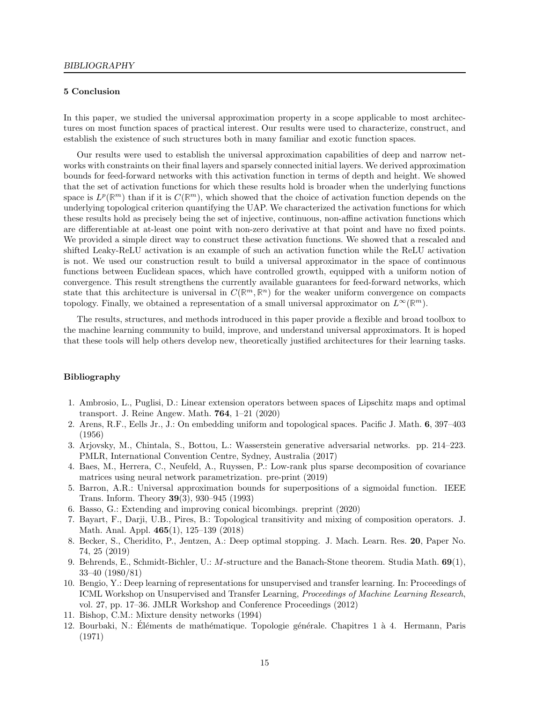## 5 Conclusion

In this paper, we studied the universal approximation property in a scope applicable to most architectures on most function spaces of practical interest. Our results were used to characterize, construct, and establish the existence of such structures both in many familiar and exotic function spaces.

Our results were used to establish the universal approximation capabilities of deep and narrow networks with constraints on their final layers and sparsely connected initial layers. We derived approximation bounds for feed-forward networks with this activation function in terms of depth and height. We showed that the set of activation functions for which these results hold is broader when the underlying functions space is  $L^p(\mathbb{R}^m)$  than if it is  $C(\mathbb{R}^m)$ , which showed that the choice of activation function depends on the underlying topological criterion quantifying the UAP. We characterized the activation functions for which these results hold as precisely being the set of injective, continuous, non-affine activation functions which are differentiable at at-least one point with non-zero derivative at that point and have no fixed points. We provided a simple direct way to construct these activation functions. We showed that a rescaled and shifted Leaky-ReLU activation is an example of such an activation function while the ReLU activation is not. We used our construction result to build a universal approximator in the space of continuous functions between Euclidean spaces, which have controlled growth, equipped with a uniform notion of convergence. This result strengthens the currently available guarantees for feed-forward networks, which state that this architecture is universal in  $C(\mathbb{R}^m, \mathbb{R}^n)$  for the weaker uniform convergence on compacts topology. Finally, we obtained a representation of a small universal approximator on  $L^{\infty}(\mathbb{R}^m)$ .

The results, structures, and methods introduced in this paper provide a flexible and broad toolbox to the machine learning community to build, improve, and understand universal approximators. It is hoped that these tools will help others develop new, theoretically justified architectures for their learning tasks.

#### Bibliography

- <span id="page-14-2"></span>1. Ambrosio, L., Puglisi, D.: Linear extension operators between spaces of Lipschitz maps and optimal transport. J. Reine Angew. Math. 764, 1–21 (2020)
- <span id="page-14-1"></span>2. Arens, R.F., Eells Jr., J.: On embedding uniform and topological spaces. Pacific J. Math. 6, 397–403 (1956)
- <span id="page-14-3"></span>3. Arjovsky, M., Chintala, S., Bottou, L.: Wasserstein generative adversarial networks. pp. 214–223. PMLR, International Convention Centre, Sydney, Australia (2017)
- <span id="page-14-5"></span>4. Baes, M., Herrera, C., Neufeld, A., Ruyssen, P.: Low-rank plus sparse decomposition of covariance matrices using neural network parametrization. pre-print (2019)
- <span id="page-14-8"></span>5. Barron, A.R.: Universal approximation bounds for superpositions of a sigmoidal function. IEEE Trans. Inform. Theory 39(3), 930–945 (1993)
- <span id="page-14-4"></span>6. Basso, G.: Extending and improving conical bicombings. preprint (2020)
- <span id="page-14-10"></span>7. Bayart, F., Darji, U.B., Pires, B.: Topological transitivity and mixing of composition operators. J. Math. Anal. Appl. 465(1), 125–139 (2018)
- <span id="page-14-0"></span>8. Becker, S., Cheridito, P., Jentzen, A.: Deep optimal stopping. J. Mach. Learn. Res. 20, Paper No. 74, 25 (2019)
- <span id="page-14-11"></span>9. Behrends, E., Schmidt-Bichler, U.: M-structure and the Banach-Stone theorem. Studia Math.  $69(1)$ , 33–40 (1980/81)
- <span id="page-14-7"></span>10. Bengio, Y.: Deep learning of representations for unsupervised and transfer learning. In: Proceedings of ICML Workshop on Unsupervised and Transfer Learning, Proceedings of Machine Learning Research, vol. 27, pp. 17–36. JMLR Workshop and Conference Proceedings (2012)
- <span id="page-14-6"></span>11. Bishop, C.M.: Mixture density networks (1994)
- <span id="page-14-9"></span>12. Bourbaki, N.: Éléments de mathématique. Topologie générale. Chapitres 1 à 4. Hermann, Paris (1971)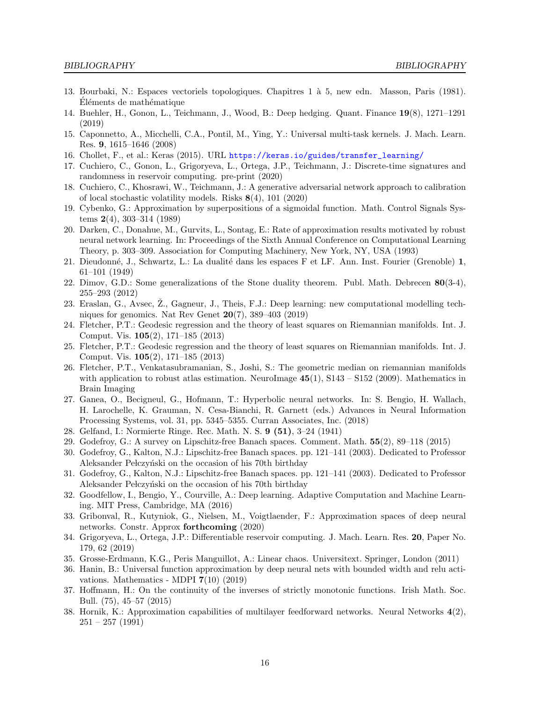- <span id="page-15-23"></span>13. Bourbaki, N.: Espaces vectoriels topologiques. Chapitres 1 à 5, new edn. Masson, Paris (1981). Eléments de mathématique
- <span id="page-15-3"></span>14. Buehler, H., Gonon, L., Teichmann, J., Wood, B.: Deep hedging. Quant. Finance 19(8), 1271–1291 (2019)
- <span id="page-15-11"></span>15. Caponnetto, A., Micchelli, C.A., Pontil, M., Ying, Y.: Universal multi-task kernels. J. Mach. Learn. Res. 9, 1615–1646 (2008)
- <span id="page-15-20"></span>16. Chollet, F., et al.: Keras (2015). URL [https://keras.io/guides/transfer\\_learning/](https://keras.io/guides/transfer_learning/)
- <span id="page-15-13"></span>17. Cuchiero, C., Gonon, L., Grigoryeva, L., Ortega, J.P., Teichmann, J.: Discrete-time signatures and randomness in reservoir computing. pre-print (2020)
- <span id="page-15-4"></span>18. Cuchiero, C., Khosrawi, W., Teichmann, J.: A generative adversarial network approach to calibration of local stochastic volatility models. Risks 8(4), 101 (2020)
- <span id="page-15-0"></span>19. Cybenko, G.: Approximation by superpositions of a sigmoidal function. Math. Control Signals Systems 2(4), 303–314 (1989)
- <span id="page-15-21"></span>20. Darken, C., Donahue, M., Gurvits, L., Sontag, E.: Rate of approximation results motivated by robust neural network learning. In: Proceedings of the Sixth Annual Conference on Computational Learning Theory, p. 303–309. Association for Computing Machinery, New York, NY, USA (1993)
- <span id="page-15-25"></span>21. Dieudonné, J., Schwartz, L.: La dualité dans les espaces F et LF. Ann. Inst. Fourier (Grenoble) 1, 61–101 (1949)
- <span id="page-15-18"></span>22. Dimov, G.D.: Some generalizations of the Stone duality theorem. Publ. Math. Debrecen  $80(3-4)$ , 255–293 (2012)
- <span id="page-15-2"></span>23. Eraslan, G., Avsec, Z., Gagneur, J., Theis, F.J.: Deep learning: new computational modelling techniques for genomics. Nat Rev Genet  $20(7)$ , 389-403 (2019)
- <span id="page-15-14"></span>24. Fletcher, P.T.: Geodesic regression and the theory of least squares on Riemannian manifolds. Int. J. Comput. Vis. 105(2), 171–185 (2013)
- <span id="page-15-19"></span>25. Fletcher, P.T.: Geodesic regression and the theory of least squares on Riemannian manifolds. Int. J. Comput. Vis. 105(2), 171–185 (2013)
- <span id="page-15-6"></span>26. Fletcher, P.T., Venkatasubramanian, S., Joshi, S.: The geometric median on riemannian manifolds with application to robust atlas estimation. NeuroImage  $45(1)$ ,  $S143 - S152$  (2009). Mathematics in Brain Imaging
- <span id="page-15-7"></span>27. Ganea, O., Becigneul, G., Hofmann, T.: Hyperbolic neural networks. In: S. Bengio, H. Wallach, H. Larochelle, K. Grauman, N. Cesa-Bianchi, R. Garnett (eds.) Advances in Neural Information Processing Systems, vol. 31, pp. 5345–5355. Curran Associates, Inc. (2018)
- <span id="page-15-17"></span>28. Gelfand, I.: Normierte Ringe. Rec. Math. N. S. 9 (51), 3–24 (1941)
- <span id="page-15-10"></span>29. Godefroy, G.: A survey on Lipschitz-free Banach spaces. Comment. Math. 55(2), 89–118 (2015)
- <span id="page-15-8"></span>30. Godefroy, G., Kalton, N.J.: Lipschitz-free Banach spaces. pp. 121–141 (2003). Dedicated to Professor Aleksander Pełczyński on the occasion of his 70th birthday
- <span id="page-15-9"></span>31. Godefroy, G., Kalton, N.J.: Lipschitz-free Banach spaces. pp. 121–141 (2003). Dedicated to Professor Aleksander Pełczyński on the occasion of his 70th birthday
- <span id="page-15-16"></span>32. Goodfellow, I., Bengio, Y., Courville, A.: Deep learning. Adaptive Computation and Machine Learning. MIT Press, Cambridge, MA (2016)
- <span id="page-15-15"></span>33. Gribonval, R., Kutyniok, G., Nielsen, M., Voigtlaender, F.: Approximation spaces of deep neural networks. Constr. Approx forthcoming (2020)
- <span id="page-15-12"></span>34. Grigoryeva, L., Ortega, J.P.: Differentiable reservoir computing. J. Mach. Learn. Res. 20, Paper No. 179, 62 (2019)
- <span id="page-15-22"></span>35. Grosse-Erdmann, K.G., Peris Manguillot, A.: Linear chaos. Universitext. Springer, London (2011)
- <span id="page-15-5"></span>36. Hanin, B.: Universal function approximation by deep neural nets with bounded width and relu activations. Mathematics - MDPI  $7(10)$   $(2019)$
- <span id="page-15-24"></span>37. Hoffmann, H.: On the continuity of the inverses of strictly monotonic functions. Irish Math. Soc. Bull. (75), 45–57 (2015)
- <span id="page-15-1"></span>38. Hornik, K.: Approximation capabilities of multilayer feedforward networks. Neural Networks 4(2), 251 – 257 (1991)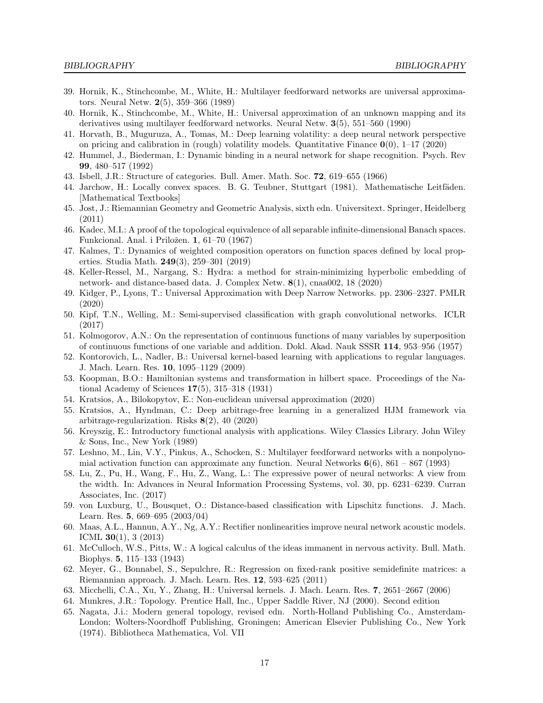- <span id="page-16-7"></span>39. Hornik, K., Stinchcombe, M., White, H.: Multilayer feedforward networks are universal approximators. Neural Netw. 2(5), 359–366 (1989)
- <span id="page-16-1"></span>40. Hornik, K., Stinchcombe, M., White, H.: Universal approximation of an unknown mapping and its derivatives using multilayer feedforward networks. Neural Netw. 3(5), 551–560 (1990)
- <span id="page-16-4"></span>41. Horvath, B., Muguruza, A., Tomas, M.: Deep learning volatility: a deep neural network perspective on pricing and calibration in (rough) volatility models. Quantitative Finance  $\mathbf{0}(0)$ , 1–17 (2020)
- <span id="page-16-19"></span>42. Hummel, J., Biederman, I.: Dynamic binding in a neural network for shape recognition. Psych. Rev 99, 480–517 (1992)
- <span id="page-16-17"></span>43. Isbell, J.R.: Structure of categories. Bull. Amer. Math. Soc. 72, 619–655 (1966)
- <span id="page-16-26"></span>44. Jarchow, H.: Locally convex spaces. B. G. Teubner, Stuttgart (1981). Mathematische Leitfäden. [Mathematical Textbooks]
- <span id="page-16-11"></span>45. Jost, J.: Riemannian Geometry and Geometric Analysis, sixth edn. Universitext. Springer, Heidelberg (2011)
- <span id="page-16-23"></span>46. Kadec, M.I.: A proof of the topological equivalence of all separable infinite-dimensional Banach spaces. Funkcional. Anal. i Priložen. 1, 61–70 (1967)
- <span id="page-16-25"></span>47. Kalmes, T.: Dynamics of weighted composition operators on function spaces defined by local properties. Studia Math. 249(3), 259–301 (2019)
- <span id="page-16-9"></span>48. Keller-Ressel, M., Nargang, S.: Hydra: a method for strain-minimizing hyperbolic embedding of network- and distance-based data. J. Complex Netw. 8(1), cnaa002, 18 (2020)
- <span id="page-16-6"></span>49. Kidger, P., Lyons, T.: Universal Approximation with Deep Narrow Networks. pp. 2306–2327. PMLR (2020)
- <span id="page-16-20"></span>50. Kipf, T.N., Welling, M.: Semi-supervised classification with graph convolutional networks. ICLR (2017)
- <span id="page-16-2"></span>51. Kolmogorov, A.N.: On the representation of continuous functions of many variables by superposition of continuous functions of one variable and addition. Dokl. Akad. Nauk SSSR 114, 953–956 (1957)
- <span id="page-16-15"></span>52. Kontorovich, L., Nadler, B.: Universal kernel-based learning with applications to regular languages. J. Mach. Learn. Res. 10, 1095–1129 (2009)
- <span id="page-16-21"></span>53. Koopman, B.O.: Hamiltonian systems and transformation in hilbert space. Proceedings of the National Academy of Sciences 17(5), 315–318 (1931)
- <span id="page-16-16"></span>54. Kratsios, A., Bilokopytov, E.: Non-euclidean universal approximation (2020)
- <span id="page-16-3"></span>55. Kratsios, A., Hyndman, C.: Deep arbitrage-free learning in a generalized HJM framework via arbitrage-regularization. Risks 8(2), 40 (2020)
- <span id="page-16-24"></span>56. Kreyszig, E.: Introductory functional analysis with applications. Wiley Classics Library. John Wiley & Sons, Inc., New York (1989)
- <span id="page-16-5"></span>57. Leshno, M., Lin, V.Y., Pinkus, A., Schocken, S.: Multilayer feedforward networks with a nonpolynomial activation function can approximate any function. Neural Networks  $6(6)$ ,  $861 - 867$  (1993)
- <span id="page-16-8"></span>58. Lu, Z., Pu, H., Wang, F., Hu, Z., Wang, L.: The expressive power of neural networks: A view from the width. In: Advances in Neural Information Processing Systems, vol. 30, pp. 6231–6239. Curran Associates, Inc. (2017)
- <span id="page-16-10"></span>59. von Luxburg, U., Bousquet, O.: Distance-based classification with Lipschitz functions. J. Mach. Learn. Res. 5, 669–695 (2003/04)
- <span id="page-16-22"></span>60. Maas, A.L., Hannun, A.Y., Ng, A.Y.: Rectifier nonlinearities improve neural network acoustic models. ICML 30(1), 3 (2013)
- <span id="page-16-0"></span>61. McCulloch, W.S., Pitts, W.: A logical calculus of the ideas immanent in nervous activity. Bull. Math. Biophys. 5, 115–133 (1943)
- <span id="page-16-18"></span>62. Meyer, G., Bonnabel, S., Sepulchre, R.: Regression on fixed-rank positive semidefinite matrices: a Riemannian approach. J. Mach. Learn. Res. 12, 593–625 (2011)
- <span id="page-16-14"></span>63. Micchelli, C.A., Xu, Y., Zhang, H.: Universal kernels. J. Mach. Learn. Res. 7, 2651–2667 (2006)
- <span id="page-16-13"></span>64. Munkres, J.R.: Topology. Prentice Hall, Inc., Upper Saddle River, NJ (2000). Second edition
- <span id="page-16-12"></span>65. Nagata, J.i.: Modern general topology, revised edn. North-Holland Publishing Co., Amsterdam-London; Wolters-Noordhoff Publishing, Groningen; American Elsevier Publishing Co., New York (1974). Bibliotheca Mathematica, Vol. VII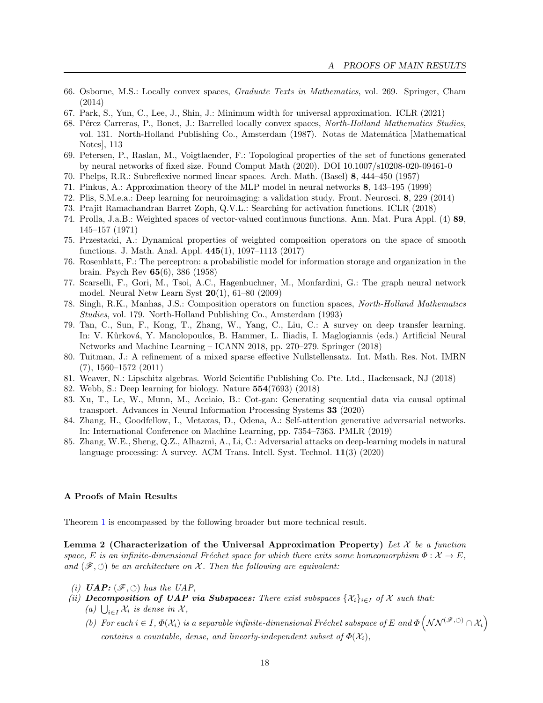- <span id="page-17-8"></span>66. Osborne, M.S.: Locally convex spaces, Graduate Texts in Mathematics, vol. 269. Springer, Cham (2014)
- <span id="page-17-4"></span>67. Park, S., Yun, C., Lee, J., Shin, J.: Minimum width for universal approximation. ICLR (2021)
- <span id="page-17-19"></span>68. Pérez Carreras, P., Bonet, J.: Barrelled locally convex spaces, North-Holland Mathematics Studies, vol. 131. North-Holland Publishing Co., Amsterdam (1987). Notas de Matemática [Mathematical Notes], 113
- <span id="page-17-9"></span>69. Petersen, P., Raslan, M., Voigtlaender, F.: Topological properties of the set of functions generated by neural networks of fixed size. Found Comput Math (2020). DOI 10.1007/s10208-020-09461-0
- <span id="page-17-18"></span>70. Phelps, R.R.: Subreflexive normed linear spaces. Arch. Math. (Basel) 8, 444–450 (1957)
- <span id="page-17-13"></span>71. Pinkus, A.: Approximation theory of the MLP model in neural networks 8, 143–195 (1999)
- <span id="page-17-2"></span>72. Plis, S.M.e.a.: Deep learning for neuroimaging: a validation study. Front. Neurosci. 8, 229 (2014)
- <span id="page-17-12"></span>73. Prajit Ramachandran Barret Zoph, Q.V.L.: Searching for activation functions. ICLR (2018)
- <span id="page-17-16"></span>74. Prolla, J.a.B.: Weighted spaces of vector-valued continuous functions. Ann. Mat. Pura Appl. (4) 89, 145–157 (1971)
- <span id="page-17-20"></span>75. Przestacki, A.: Dynamical properties of weighted composition operators on the space of smooth functions. J. Math. Anal. Appl. 445(1), 1097–1113 (2017)
- <span id="page-17-0"></span>76. Rosenblatt, F.: The perceptron: a probabilistic model for information storage and organization in the brain. Psych Rev 65(6), 386 (1958)
- <span id="page-17-11"></span>77. Scarselli, F., Gori, M., Tsoi, A.C., Hagenbuchner, M., Monfardini, G.: The graph neural network model. Neural Netw Learn Syst  $20(1)$ ,  $61-80$   $(2009)$
- <span id="page-17-14"></span>78. Singh, R.K., Manhas, J.S.: Composition operators on function spaces, North-Holland Mathematics Studies, vol. 179. North-Holland Publishing Co., Amsterdam (1993)
- <span id="page-17-15"></span>79. Tan, C., Sun, F., Kong, T., Zhang, W., Yang, C., Liu, C.: A survey on deep transfer learning. In: V. Kůrková, Y. Manolopoulos, B. Hammer, L. Iliadis, I. Maglogiannis (eds.) Artificial Neural Networks and Machine Learning – ICANN 2018, pp. 270–279. Springer (2018)
- <span id="page-17-10"></span>80. Tuitman, J.: A refinement of a mixed sparse effective Nullstellensatz. Int. Math. Res. Not. IMRN (7), 1560–1572 (2011)
- <span id="page-17-7"></span>81. Weaver, N.: Lipschitz algebras. World Scientific Publishing Co. Pte. Ltd., Hackensack, NJ (2018)
- <span id="page-17-1"></span>82. Webb, S.: Deep learning for biology. Nature 554(7693) (2018)
- <span id="page-17-6"></span>83. Xu, T., Le, W., Munn, M., Acciaio, B.: Cot-gan: Generating sequential data via causal optimal transport. Advances in Neural Information Processing Systems 33 (2020)
- <span id="page-17-5"></span>84. Zhang, H., Goodfellow, I., Metaxas, D., Odena, A.: Self-attention generative adversarial networks. In: International Conference on Machine Learning, pp. 7354–7363. PMLR (2019)
- <span id="page-17-3"></span>85. Zhang, W.E., Sheng, Q.Z., Alhazmi, A., Li, C.: Adversarial attacks on deep-learning models in natural language processing: A survey. ACM Trans. Intell. Syst. Technol. 11(3) (2020)

## A Proofs of Main Results

<span id="page-17-17"></span>Theorem [1](#page-5-5) is encompassed by the following broader but more technical result.

Lemma 2 (Characterization of the Universal Approximation Property) Let  $\mathcal X$  be a function space, E is an infinite-dimensional Fréchet space for which there exits some homeomorphism  $\Phi : \mathcal{X} \to E$ , and  $(\mathscr{F}, \circlearrowleft)$  be an architecture on X. Then the following are equivalent:

- (i)  $UAP: (\mathscr{F}, \circlearrowleft)$  has the UAP,
- (ii) Decomposition of UAP via Subspaces: There exist subspaces  $\{\mathcal{X}_i\}_{i\in I}$  of X such that: (a)  $\bigcup_{i\in I} \mathcal{X}_i$  is dense in  $\mathcal{X}_i$ ,
	- (b) For each  $i \in I$ ,  $\Phi(\mathcal{X}_i)$  is a separable infinite-dimensional Fréchet subspace of E and  $\Phi\left(\mathcal{NN}^{(\mathscr{F},\circlearrowleft)} \cap \mathcal{X}_i\right)$ contains a countable, dense, and linearly-independent subset of  $\Phi(\mathcal{X}_i)$ ,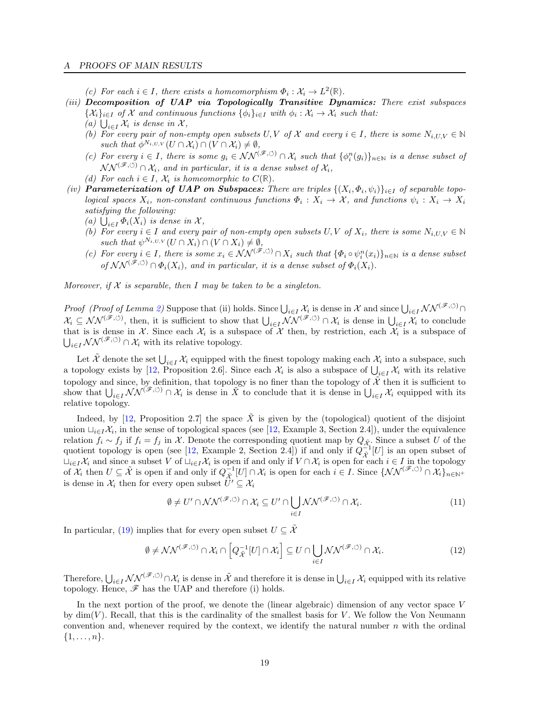#### A PROOFS OF MAIN RESULTS

- (c) For each  $i \in I$ , there exists a homeomorphism  $\Phi_i : \mathcal{X}_i \to L^2(\mathbb{R})$ .
- (iii) Decomposition of UAP via Topologically Transitive Dynamics: There exist subspaces  $\{\mathcal{X}_i\}_{i\in I}$  of  $\mathcal X$  and continuous functions  $\{\phi_i\}_{i\in I}$  with  $\phi_i : \mathcal{X}_i \to \mathcal{X}_i$  such that:
	- (a)  $\bigcup_{i\in I} \mathcal{X}_i$  is dense in X,
	- (b) For every pair of non-empty open subsets  $U, V$  of  $\mathcal X$  and every  $i \in I$ , there is some  $N_{i, U, V} \in \mathbb N$ such that  $\phi^{N_{i,U,V}}(U \cap \mathcal{X}_i) \cap (V \cap \mathcal{X}_i) \neq \emptyset$ ,
	- (c) For every  $i \in I$ , there is some  $g_i \in \mathcal{NN}^{(\mathscr{F}, \circlearrowleft)} \cap \mathcal{X}_i$  such that  $\{\phi_i^n(g_i)\}_{n \in \mathbb{N}}$  is a dense subset of  $\mathcal{NN}^{(\mathscr{F},\circlearrowleft)} \cap \mathcal{X}_i$ , and in particular, it is a dense subset of  $\mathcal{X}_i$ ,
	- (d) For each  $i \in I$ ,  $\mathcal{X}_i$  is homeomorphic to  $C(\mathbb{R})$ .
- (iv) **Parameterization of UAP on Subspaces:** There are triples  $\{(X_i, \Phi_i, \psi_i)\}_{i \in I}$  of separable topological spaces  $X_i$ , non-constant continuous functions  $\Phi_i: X_i \to \mathcal{X}$ , and functions  $\psi_i: X_i \to X_i$ satisfying the following:
	- (a)  $\bigcup_{i\in I} \Phi_i(X_i)$  is dense in X,
	- (b) For every  $i \in I$  and every pair of non-empty open subsets  $U, V$  of  $X_i$ , there is some  $N_{i,UV} \in \mathbb{N}$ such that  $\psi^{N_{i,U,V}}(U \cap X_i) \cap (V \cap X_i) \neq \emptyset$ ,
	- (c) For every  $i \in I$ , there is some  $x_i \in \mathcal{NN}^{(\mathscr{F}, \circlearrowleft)} \cap X_i$  such that  $\{\Phi_i \circ \psi_i^n(x_i)\}_{n \in \mathbb{N}}$  is a dense subset of  $\mathcal{NN}^{(\tilde{\mathscr{F}}, \circlearrowleft)} \cap \Phi_i(X_i)$ , and in particular, it is a dense subset of  $\Phi_i(X_i)$ .

Moreover, if  $X$  is separable, then I may be taken to be a singleton.

Proof (Proof of Lemma [2\)](#page-17-17) Suppose that (ii) holds. Since  $\bigcup_{i\in I} \mathcal{X}_i$  is dense in X and since  $\bigcup_{i\in I} \mathcal{NN}^{(\mathscr{F}, \circlearrowleft)}$  $\mathcal{X}_i \subseteq \mathcal{NN}^{(\mathscr{F}, \circlearrowleft)}$ , then, it is sufficient to show that  $\bigcup_{i \in I} \mathcal{NN}^{(\mathscr{F}, \circlearrowleft)} \cap \mathcal{X}_i$  is dense in  $\bigcup_{i \in I} \mathcal{X}_i$  to conclude that is is dense in X. Since each  $\mathcal{X}_i$  is a subspace of X then, by restriction, each  $\mathcal{X}_i$  is a subspace of  $\bigcup_{i\in I} \mathcal{NN}^{(\mathscr{F}, \circlearrowleft)} \cap \mathcal{X}_i$  with its relative topology.

Let  $\tilde{\mathcal{X}}$  denote the set  $\bigcup_{i\in I}\mathcal{X}_i$  equipped with the finest topology making each  $\mathcal{X}_i$  into a subspace, such a topology exists by [\[12,](#page-14-9) Proposition 2.6]. Since each  $\mathcal{X}_i$  is also a subspace of  $\bigcup_{i\in I}\mathcal{X}_i$  with its relative topology and since, by definition, that topology is no finer than the topology of  $\tilde{\mathcal{X}}$  then it is sufficient to show that  $\bigcup_{i\in I} \mathcal{NN}^{(\mathscr{F},\circ)} \cap \mathcal{X}_i$  is dense in  $\widetilde{X}$  to conclude that it is dense in  $\bigcup_{i\in I} \mathcal{X}_i$  equipped with its relative topology.

Indeed, by [\[12,](#page-14-9) Proposition 2.7] the space  $\hat{X}$  is given by the (topological) quotient of the disjoint union  $\sqcup_{i\in I} \mathcal{X}_i$ , in the sense of topological spaces (see [\[12,](#page-14-9) Example 3, Section 2.4]), under the equivalence relation  $f_i \sim f_j$  if  $f_i = f_j$  in X. Denote the corresponding quotient map by  $Q_{\tilde{\mathcal{X}}_i}$ . Since a subset U of the quotient topology is open (see [\[12,](#page-14-9) Example 2, Section 2.4]) if and only if  $Q_{\tilde{\mathcal{X}}}^{-1}[U]$  is an open subset of  $\sqcup_{i\in I}\mathcal{X}_i$  and since a subset V of  $\sqcup_{i\in I}\mathcal{X}_i$  is open if and only if  $V\cap\mathcal{X}_i$  is open for each  $i\in I$  in the topology of  $\mathcal{X}_i$  then  $U \subseteq \tilde{\mathcal{X}}$  is open if and only if  $Q_{\tilde{\mathcal{X}}}^{-1}[U] \cap \mathcal{X}_i$  is open for each  $i \in I$ . Since  $\{NN^{(\mathscr{F}, \circlearrowleft)} \cap \mathcal{X}_i\}_{n \in \mathbb{N}^+}$ is dense in  $\mathcal{X}_i$  then for every open subset  $\ddot{U}' \subseteq \mathcal{X}_i$ 

$$
\emptyset \neq U' \cap \mathcal{NN}^{(\mathscr{F}, \circlearrowleft)} \cap \mathcal{X}_i \subseteq U' \cap \bigcup_{i \in I} \mathcal{NN}^{(\mathscr{F}, \circlearrowleft)} \cap \mathcal{X}_i. \tag{11}
$$

In particular, [\(19\)](#page-21-0) implies that for every open subset  $U \subseteq \tilde{\mathcal{X}}$ 

$$
\emptyset \neq \mathcal{NN}^{(\mathscr{F}, \circlearrowleft)} \cap \mathcal{X}_i \cap \left[Q_{\tilde{\mathcal{X}}}^{-1}[U] \cap \mathcal{X}_i\right] \subseteq U \cap \bigcup_{i \in I} \mathcal{NN}^{(\mathscr{F}, \circlearrowleft)} \cap \mathcal{X}_i. \tag{12}
$$

Therefore,  $\bigcup_{i\in I} \mathcal{NN}^{(\mathscr{F}, \circlearrowleft)} \cap \mathcal{X}_i$  is dense in  $\tilde{\mathcal{X}}$  and therefore it is dense in  $\bigcup_{i\in I} \mathcal{X}_i$  equipped with its relative topology. Hence,  $\mathscr F$  has the UAP and therefore (i) holds.

In the next portion of the proof, we denote the (linear algebraic) dimension of any vector space  $V$ by  $\dim(V)$ . Recall, that this is the cardinality of the smallest basis for V. We follow the Von Neumann convention and, whenever required by the context, we identify the natural number  $n$  with the ordinal  $\{1, \ldots, n\}.$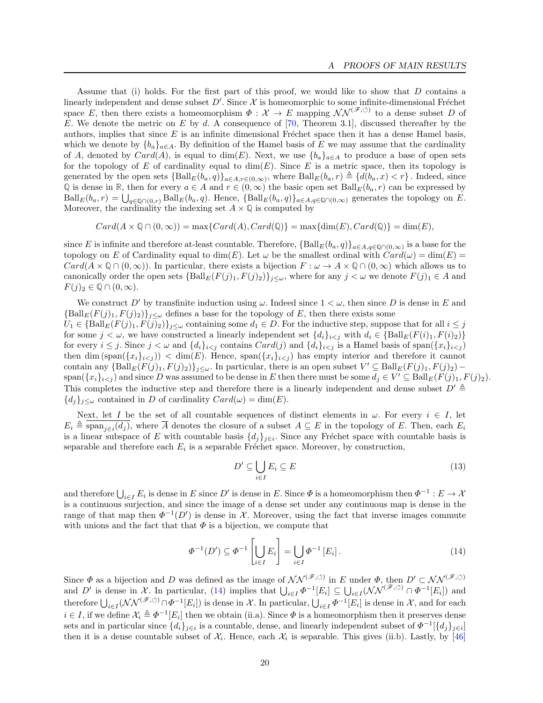Assume that (i) holds. For the first part of this proof, we would like to show that D contains a linearly independent and dense subset  $D'$ . Since  $\mathcal X$  is homeomorphic to some infinite-dimensional Fréchet space E, then there exists a homeomorphism  $\Phi : \mathcal{X} \to E$  mapping  $\mathcal{NN}^{(\mathscr{F}, \circ)}$  to a dense subset D of E. We denote the metric on E by d. A consequence of [\[70,](#page-17-18) Theorem 3.1], discussed thereafter by the authors, implies that since  $E$  is an infinite dimensional Fréchet space then it has a dense Hamel basis, which we denote by  ${b_a}_{a \in A}$ . By definition of the Hamel basis of E we may assume that the cardinality of A, denoted by  $Card(A)$ , is equal to dim(E). Next, we use  ${b_a}_{a\in A}$  to produce a base of open sets for the topology of E of cardinality equal to  $\dim(E)$ . Since E is a metric space, then its topology is generated by the open sets  ${\{Ball_E(b_a, q)\}}_{a \in A, r \in (0, \infty)}$ , where  $\text{Ball}_E(b_a, r) \triangleq \{d(b_a, x) < r\}$ . Indeed, since Q is dense in R, then for every  $a \in A$  and  $r \in (0, \infty)$  the basic open set  $\text{Ball}_E(b_a, r)$  can be expressed by  $\text{Ball}_E(b_a, r) = \bigcup_{q \in \mathbb{Q} \cap (0, r)} \text{Ball}_E(b_a, q)$ . Hence,  $\{\text{Ball}_E(b_a, q)\}_{a \in A, q \in \mathbb{Q} \cap (0, \infty)}$  generates the topology on E. Moreover, the cardinality the indexing set  $A \times \mathbb{Q}$  is computed by

 $Card(A \times \mathbb{Q} \cap (0, \infty)) = \max\{Card(A), Card(\mathbb{Q})\} = \max\{\dim(E), Card(\mathbb{Q})\} = \dim(E),$ 

since E is infinite and therefore at-least countable. Therefore,  ${\{Ball_E(b_a, q)\}}_{a \in A, q \in \mathbb{Q} \cap (0, \infty)}$  is a base for the topology on E of Cardinality equal to  $\dim(E)$ . Let  $\omega$  be the smallest ordinal with  $Card(\omega) = \dim(E)$  $Card(A \times \mathbb{Q} \cap (0, \infty))$ . In particular, there exists a bijection  $F : \omega \to A \times \mathbb{Q} \cap (0, \infty)$  which allows us to canonically order the open sets  $\{\text{Ball}_E(F(j)_1, F(j)_2)\}_{j\leq\omega}$ , where for any  $j<\omega$  we denote  $F(j)_1\in A$  and  $F(j)_2 \in \mathbb{Q} \cap (0,\infty).$ 

We construct D' by transfinite induction using  $\omega$ . Indeed since  $1 < \omega$ , then since D is dense in E and  ${\rm [Ball}_E(F(j)_1, F(j)_2)\}_{j\leq\omega}$  defines a base for the topology of E, then there exists some  $U_1 \in \{\text{Ball}_E(F(j)_1, F(j)_2)\}_{j \leq \omega}$  containing some  $d_1 \in D$ . For the inductive step, suppose that for all  $i \leq j$ for some  $j < \omega$ , we have constructed a linearly independent set  $\{d_i\}_{i \leq j}$  with  $d_i \in \{\text{Ball}_E(F(i)_1, F(i)_2)\}\$ for every  $i \leq j$ . Since  $j < \omega$  and  $\{d_i\}_{i \leq j}$  contains  $Card(j)$  and  $\{d_i\}_{i \leq j}$  is a Hamel basis of span $(\{x_i\}_{i \leq j})$ then dim  $(\text{span}(\{x_i\}_{i\leq j}) < \dim(E)$ . Hence,  $\text{span}(\{x_i\}_{i\leq j})$  has empty interior and therefore it cannot contain any  $\{\text{Ball}_E(F(j)_1, F(j)_2)\}_{j\leq\omega}$ . In particular, there is an open subset  $V' \subseteq \text{Ball}_E(F(j)_1, F(j)_2)$  – span $(\{x_i\}_{i\leq j})$  and since D was assumed to be dense in E then there must be some  $d_j \in V' \subseteq \text{Ball}_E(F(j)_1, F(j)_2)$ . This completes the inductive step and therefore there is a linearly independent and dense subset  $D' \triangleq$  ${d_j}_{j\leq \omega}$  contained in D of cardinality  $Card(\omega) = \dim(E)$ .

Next, let I be the set of all countable sequences of distinct elements in  $\omega$ . For every  $i \in I$ , let  $E_i \triangleq \overline{\text{span}_{j\in i}(d_j)}$ , where  $\overline{A}$  denotes the closure of a subset  $A \subseteq E$  in the topology of E. Then, each  $E_i$ is a linear subspace of E with countable basis  $\{d_j\}_{j\in i}$ . Since any Fréchet space with countable basis is separable and therefore each  $E_i$  is a separable Fréchet space. Moreover, by construction,

$$
D' \subseteq \bigcup_{i \in I} E_i \subseteq E \tag{13}
$$

and therefore  $\bigcup_{i\in I} E_i$  is dense in E since D' is dense in E. Since  $\Phi$  is a homeomorphism then  $\Phi^{-1}: E \to \mathcal{X}$ is a continuous surjection, and since the image of a dense set under any continuous map is dense in the range of that map then  $\Phi^{-1}(D')$  is dense in X. Moreover, using the fact that inverse images commute with unions and the fact that that  $\Phi$  is a bijection, we compute that

<span id="page-19-0"></span>
$$
\Phi^{-1}(D') \subseteq \Phi^{-1}\left[\bigcup_{i \in I} E_i\right] = \bigcup_{i \in I} \Phi^{-1}\left[E_i\right].\tag{14}
$$

Since  $\Phi$  as a bijection and D was defined as the image of  $\mathcal{NN}^{(\mathscr{F}, \circlearrowleft)}$  in E under  $\Phi$ , then  $D' \subset \mathcal{NN}^{(\mathscr{F}, \circlearrowleft)}$ and D' is dense in X. In particular, [\(14\)](#page-19-0) implies that  $\bigcup_{i\in I} \Phi^{-1}[E_i] \subseteq \bigcup_{i\in I} (\mathcal{NN}^{(\mathscr{F}, \circlearrowleft)} \cap \Phi^{-1}[E_i])$  and therefore  $\bigcup_{i\in I} (\mathcal{NN}^{(\mathscr{F},\circlearrowleft)} \cap \Phi^{-1}[E_i])$  is dense in X. In particular,  $\bigcup_{i\in I} \Phi^{-1}[E_i]$  is dense in X, and for each  $i \in I$ , if we define  $\mathcal{X}_i \triangleq \Phi^{-1}[E_i]$  then we obtain (ii.a). Since  $\Phi$  is a homeomorphism then it preserves dense sets and in particular since  $\{d_i\}_{i\in i}$  is a countable, dense, and linearly independent subset of  $\Phi^{-1}[\{d_j\}_{j\in i}]$ then it is a dense countable subset of  $\mathcal{X}_i$ . Hence, each  $\mathcal{X}_i$  is separable. This gives (ii.b). Lastly, by [\[46\]](#page-16-23)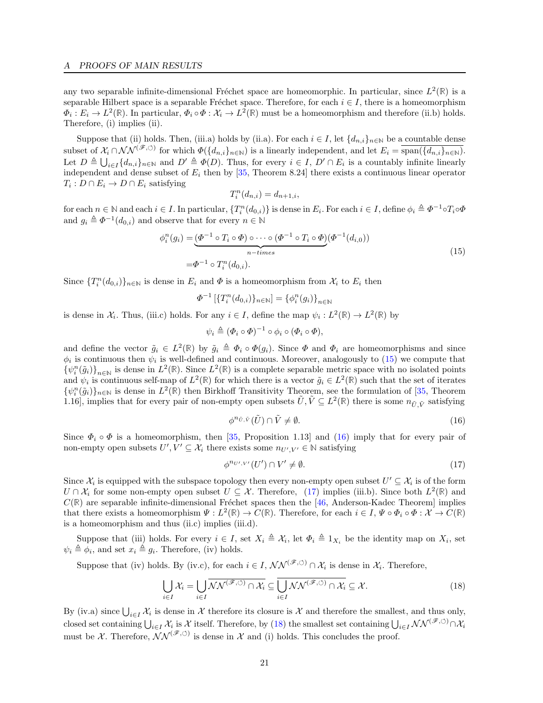any two separable infinite-dimensional Fréchet space are homeomorphic. In particular, since  $L^2(\mathbb{R})$  is a separable Hilbert space is a separable Fréchet space. Therefore, for each  $i \in I$ , there is a homeomorphism  $\Phi_i: E_i \to L^2(\mathbb{R})$ . In particular,  $\Phi_i \circ \Phi: \mathcal{X}_i \to L^2(\mathbb{R})$  must be a homeomorphism and therefore (ii.b) holds. Therefore, (i) implies (ii).

Suppose that (ii) holds. Then, (iii.a) holds by (ii.a). For each  $i \in I$ , let  $\{d_{n,i}\}_{n\in\mathbb{N}}$  be a countable dense subset of  $\mathcal{X}_i \cap \mathcal{NN}^{(\mathscr{F}, \circlearrowleft)}$  for which  $\Phi(\{d_{n,i}\}_{n\in\mathbb{N}})$  is a linearly independent, and let  $E_i = \overline{\text{span}(\{d_{n,i}\}_{n\in\mathbb{N}})}$ . Let  $D \triangleq \bigcup_{i \in I} \{d_{n,i}\}_{n \in \mathbb{N}}$  and  $D' \triangleq \Phi(D)$ . Thus, for every  $i \in I$ ,  $D' \cap E_i$  is a countably infinite linearly independent and dense subset of  $E_i$  then by [\[35,](#page-15-22) Theorem 8.24] there exists a continuous linear operator  $T_i: D \cap E_i \to D \cap E_i$  satisfying

$$
T_i^n(d_{n,i}) = d_{n+1,i},
$$

for each  $n \in \mathbb{N}$  and each  $i \in I$ . In particular,  $\{T_i^n(d_{0,i})\}$  is dense in  $E_i$ . For each  $i \in I$ , define  $\phi_i \triangleq \Phi^{-1} \circ T_i \circ \Phi$ and  $g_i \triangleq \Phi^{-1}(d_{0,i})$  and observe that for every  $n \in \mathbb{N}$ 

<span id="page-20-0"></span>
$$
\phi_i^n(g_i) = \underbrace{(\Phi^{-1} \circ T_i \circ \Phi) \circ \cdots \circ (\Phi^{-1} \circ T_i \circ \Phi)}_{n-times} (\Phi^{-1}(d_{i,0}))
$$
\n
$$
= \Phi^{-1} \circ T_i^n(d_{0,i}).
$$
\n(15)

Since  $\{T_i^n(d_{0,i})\}_{n\in\mathbb{N}}$  is dense in  $E_i$  and  $\Phi$  is a homeomorphism from  $\mathcal{X}_i$  to  $E_i$  then

$$
\Phi^{-1}\left[\{T_i^n(d_{0,i})\}_{n\in\mathbb{N}}\right] = \{\phi_i^n(g_i)\}_{n\in\mathbb{N}}
$$

is dense in  $\mathcal{X}_i$ . Thus, (iii.c) holds. For any  $i \in I$ , define the map  $\psi_i : L^2(\mathbb{R}) \to L^2(\mathbb{R})$  by

$$
\psi_i \triangleq (\Phi_i \circ \Phi)^{-1} \circ \phi_i \circ (\Phi_i \circ \Phi),
$$

and define the vector  $\tilde{g}_i \in L^2(\mathbb{R})$  by  $\tilde{g}_i \triangleq \Phi_i \circ \Phi(g_i)$ . Since  $\Phi$  and  $\Phi_i$  are homeomorphisms and since  $\phi_i$  is continuous then  $\psi_i$  is well-defined and continuous. Moreover, analogously to [\(15\)](#page-20-0) we compute that  $\{\psi_i^n(\tilde{g}_i)\}_{n\in\mathbb{N}}$  is dense in  $L^2(\mathbb{R})$ . Since  $L^2(\mathbb{R})$  is a complete separable metric space with no isolated points and  $\psi_i$  is continuous self-map of  $L^2(\mathbb{R})$  for which there is a vector  $\tilde{g}_i \in L^2(\mathbb{R})$  such that the set of iterates  $\{\psi_i^n(\tilde{g}_i)\}_{n\in\mathbb{N}}$  is dense in  $L^2(\mathbb{R})$  then Birkhoff Transitivity Theorem, see the formulation of [\[35,](#page-15-22) Theorem 1.16], implies that for every pair of non-empty open subsets  $\tilde{U}, \tilde{V} \subseteq L^2(\mathbb{R})$  there is some  $n_{\tilde{U}, \tilde{V}}$  satisfying

<span id="page-20-1"></span>
$$
\phi^{n_{\tilde{U},\tilde{V}}}(\tilde{U}) \cap \tilde{V} \neq \emptyset. \tag{16}
$$

Since  $\Phi_i \circ \Phi$  is a homeomorphism, then [\[35,](#page-15-22) Proposition 1.13] and [\(16\)](#page-20-1) imply that for every pair of non-empty open subsets  $U', V' \subseteq \mathcal{X}_i$  there exists some  $n_{U', V'} \in \mathbb{N}$  satisfying

<span id="page-20-2"></span>
$$
\phi^{n_{U',V'}}(U') \cap V' \neq \emptyset. \tag{17}
$$

Since  $\mathcal{X}_i$  is equipped with the subspace topology then every non-empty open subset  $U' \subseteq \mathcal{X}_i$  is of the form  $U \cap \mathcal{X}_i$  for some non-empty open subset  $U \subseteq \mathcal{X}$ . Therefore, [\(17\)](#page-20-2) implies (iii.b). Since both  $L^2(\mathbb{R})$  and  $C(\mathbb{R})$  are separable infinite-dimensional Fréchet spaces then the [\[46,](#page-16-23) Anderson-Kadec Theorem] implies that there exists a homeomorphism  $\Psi: L^2(\mathbb{R}) \to C(\mathbb{R})$ . Therefore, for each  $i \in I$ ,  $\Psi \circ \Phi_i \circ \Phi : \mathcal{X} \to C(\mathbb{R})$ is a homeomorphism and thus (ii.c) implies (iii.d).

Suppose that (iii) holds. For every  $i \in I$ , set  $X_i \triangleq X_i$ , let  $\Phi_i \triangleq 1_{X_i}$  be the identity map on  $X_i$ , set  $\psi_i \triangleq \phi_i$ , and set  $x_i \triangleq g_i$ . Therefore, (iv) holds.

Suppose that (iv) holds. By (iv.c), for each  $i \in I$ ,  $\mathcal{NN}^{(\mathscr{F}, \circlearrowleft)} \cap \mathcal{X}_i$  is dense in  $\mathcal{X}_i$ . Therefore,

<span id="page-20-3"></span>
$$
\bigcup_{i \in I} \mathcal{X}_i = \bigcup_{i \in I} \overline{\mathcal{NN}^{(\mathscr{F}, \circlearrowleft)} \cap \mathcal{X}_i} \subseteq \overline{\bigcup_{i \in I} \mathcal{NN}^{(\mathscr{F}, \circlearrowleft)} \cap \mathcal{X}_i} \subseteq \mathcal{X}.
$$
\n(18)

By (iv.a) since  $\bigcup_{i\in I} \mathcal{X}_i$  is dense in X therefore its closure is X and therefore the smallest, and thus only, closed set containing  $\bigcup_{i\in I} \mathcal{X}_i$  is X itself. Therefore, by [\(18\)](#page-20-3) the smallest set containing  $\bigcup_{i\in I} \mathcal{NN}^{(\mathscr{F}, \circlearrowleft)} \cap \mathcal{X}_i$ must be X. Therefore,  $\mathcal{NN}^{(\mathscr{F},\circ)}$  is dense in X and (i) holds. This concludes the proof.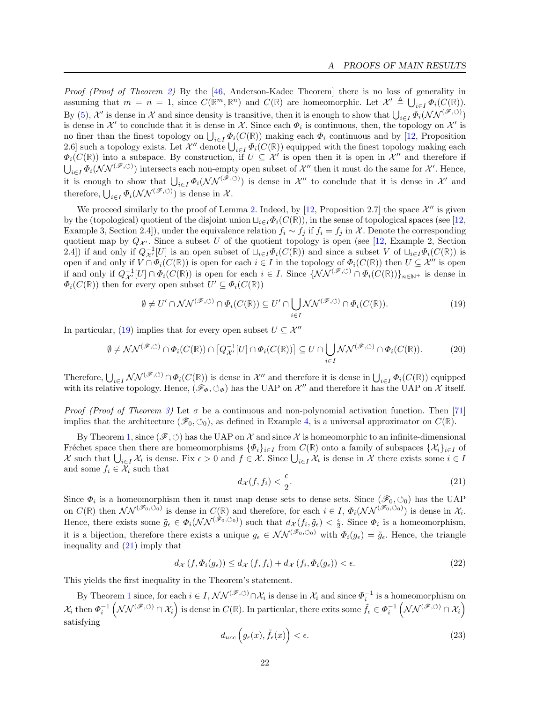Proof (Proof of Theorem [2\)](#page-6-2) By the [\[46,](#page-16-23) Anderson-Kadec Theorem] there is no loss of generality in assuming that  $m = n = 1$ , since  $C(\mathbb{R}^m, \mathbb{R}^n)$  and  $C(\mathbb{R})$  are homeomorphic. Let  $\mathcal{X}' \triangleq \bigcup_{i \in I} \Phi_i(C(\mathbb{R}))$ . By [\(5\)](#page-6-3), X' is dense in X and since density is transitive, then it is enough to show that  $\bigcup_{i\in I} \Phi_i(\mathcal{NN}^{(\mathscr{F}, \circlearrowleft)})$ is dense in X' to conclude that it is dense in X. Since each  $\Phi_i$  is continuous, then, the topology on X' is no finer than the finest topology on  $\bigcup_{i\in I} \Phi_i(C(\mathbb{R}))$  making each  $\Phi_i$  continuous and by [\[12,](#page-14-9) Proposition 2.6] such a topology exists. Let  $\mathcal{X}''$  denote  $\bigcup_{i\in I} \Phi_i(C(\mathbb{R}))$  equipped with the finest topology making each  $\Phi_i(C(\mathbb{R}))$  into a subspace. By construction, if  $U \subseteq \mathcal{X}'$  is open then it is open in  $\mathcal{X}''$  and therefore if  $\bigcup_{i\in I} \Phi_i(\mathcal{NN}^{(\mathscr{F},\circlearrowleft)})$  intersects each non-empty open subset of  $\mathcal{X}''$  then it must do the same for  $\mathcal{X}'$ . Hence, it is enough to show that  $\bigcup_{i\in I} \Phi_i(\mathcal{NN}^{(\mathscr{F}, \circlearrowleft)})$  is dense in X'' to conclude that it is dense in X'' and therefore,  $\bigcup_{i\in I} \Phi_i(\mathcal{NN}^{(\mathscr{F}, \circlearrowleft)})$  is dense in  $\mathcal{X}$ .

We proceed similarly to the proof of Lemma [2.](#page-17-17) Indeed, by [\[12,](#page-14-9) Proposition 2.7] the space  $\mathcal{X}''$  is given by the (topological) quotient of the disjoint union  $\sqcup_{i\in I}\Phi_i(C(\mathbb{R}))$ , in the sense of topological spaces (see [\[12,](#page-14-9) Example 3, Section 2.4]), under the equivalence relation  $f_i \sim f_j$  if  $f_i = f_j$  in X. Denote the corresponding quotient map by  $Q_{\mathcal{X}}$ . Since a subset U of the quotient topology is open (see [\[12,](#page-14-9) Example 2, Section 2.4) if and only if  $Q_{\mathcal{X}'}^{-1}[U]$  is an open subset of  $\sqcup_{i\in I}\Phi_i(C(\mathbb{R}))$  and since a subset V of  $\sqcup_{i\in I}\Phi_i(C(\mathbb{R}))$  is open if and only if  $V \cap \Phi_i(C(\mathbb{R}))$  is open for each  $i \in I$  in the topology of  $\Phi_i(C(\mathbb{R}))$  then  $U \subseteq \mathcal{X}''$  is open if and only if  $Q_{\mathcal{X}'}^{-1}[U] \cap \Phi_i(C(\mathbb{R}))$  is open for each  $i \in I$ . Since  $\{\mathcal{NN}^{(\mathscr{F}, \circlearrowleft)} \cap \Phi_i(C(\mathbb{R}))\}_{n \in \mathbb{N}}$  is dense in  $\Phi_i(C(\mathbb{R}))$  then for every open subset  $U' \subseteq \Phi_i(C(\mathbb{R}))$ 

<span id="page-21-0"></span>
$$
\emptyset \neq U' \cap \mathcal{NN}^{(\mathscr{F}, \circlearrowleft)} \cap \Phi_i(C(\mathbb{R})) \subseteq U' \cap \bigcup_{i \in I} \mathcal{NN}^{(\mathscr{F}, \circlearrowleft)} \cap \Phi_i(C(\mathbb{R})).
$$
\n
$$
(19)
$$

In particular, [\(19\)](#page-21-0) implies that for every open subset  $U \subseteq \mathcal{X}''$ 

$$
\emptyset \neq \mathcal{NN}^{(\mathscr{F}, \circlearrowleft)} \cap \Phi_i(C(\mathbb{R})) \cap \left[Q_{\mathcal{X}'}^{-1}[U] \cap \Phi_i(C(\mathbb{R}))\right] \subseteq U \cap \bigcup_{i \in I} \mathcal{NN}^{(\mathscr{F}, \circlearrowleft)} \cap \Phi_i(C(\mathbb{R})).
$$
\n(20)

Therefore,  $\bigcup_{i\in I} \mathcal{NN}^{(\mathscr{F}, \circlearrowleft)} \cap \Phi_i(C(\mathbb{R}))$  is dense in  $\mathcal{X}''$  and therefore it is dense in  $\bigcup_{i\in I} \Phi_i(C(\mathbb{R}))$  equipped with its relative topology. Hence,  $(\mathscr{F}_{\Phi}, \circlearrowleft_{\Phi})$  has the UAP on X'' and therefore it has the UAP on X itself.

*Proof (Proof of Theorem [3\)](#page-6-0)* Let  $\sigma$  be a continuous and non-polynomial activation function. Then [\[71\]](#page-17-13) implies that the architecture  $(\mathscr{F}_0, \circlearrowleft_0)$ , as defined in Example [4,](#page-5-4) is a universal approximator on  $C(\mathbb{R})$ .

By Theorem [1,](#page-5-5) since  $(\mathscr{F}, \circlearrowleft)$  has the UAP on X and since X is homeomorphic to an infinite-dimensional Fréchet space then there are homeomorphisms  ${\{\Phi_i\}_{i\in I}}$  from  $C(\mathbb{R})$  onto a family of subspaces  ${\{\mathcal{X}_i\}_{i\in I}}$  of X such that  $\bigcup_{i\in I} \mathcal{X}_i$  is dense. Fix  $\epsilon > 0$  and  $f \in \mathcal{X}$ . Since  $\bigcup_{i\in I} \mathcal{X}_i$  is dense in X there exists some  $i \in I$ and some  $f_i \in \mathcal{X}_i$  such that

<span id="page-21-1"></span>
$$
d_{\mathcal{X}}(f, f_i) < \frac{\epsilon}{2}.\tag{21}
$$

Since  $\Phi_i$  is a homeomorphism then it must map dense sets to dense sets. Since  $(\mathscr{F}_0, \circlearrowleft_0)$  has the UAP on  $C(\mathbb{R})$  then  $\mathcal{NN}^{(\mathscr{F}_0,\circlearrowleft o)}$  is dense in  $C(\mathbb{R})$  and therefore, for each  $i \in I$ ,  $\Phi_i(\mathcal{NN}^{(\mathscr{F}_0,\circlearrowleft o)})$  is dense in  $\mathcal{X}_i$ . Hence, there exists some  $\tilde{g}_{\epsilon} \in \Phi_i(\mathcal{NN}^{(\tilde{\mathscr{F}}_0,\circlearrowleft_0)})$  such that  $d_{\mathcal{X}}(f_i, \tilde{g}_{\epsilon}) < \frac{\epsilon}{2}$ . Since  $\Phi_i$  is a homeomorphism, it is a bijection, therefore there exists a unique  $g_{\epsilon} \in \mathcal{NN}^{(\mathscr{F}_0,\circlearrowleft_0)}$  with  $\Phi_i(g_{\epsilon}) = \tilde{g}_{\epsilon}$ . Hence, the triangle inequality and [\(21\)](#page-21-1) imply that

$$
d_{\mathcal{X}}(f, \Phi_i(g_{\epsilon})) \le d_{\mathcal{X}}(f, f_i) + d_{\mathcal{X}}(f_i, \Phi_i(g_{\epsilon})) < \epsilon. \tag{22}
$$

This yields the first inequality in the Theorem's statement.

By Theorem [1](#page-5-5) since, for each  $i \in I$ ,  $\mathcal{NN}^{(\mathscr{F}, \circlearrowleft)} \cap \mathcal{X}_i$  is dense in  $\mathcal{X}_i$  and since  $\Phi_i^{-1}$  is a homeomorphism on  $\mathcal{X}_i$  then  $\Phi_i^{-1}(\mathcal{NN}^{(\mathscr{F}, \circlearrowleft)} \cap \mathcal{X}_i)$  is dense in  $C(\mathbb{R})$ . In particular, there exits some  $\tilde{f}_\epsilon \in \Phi_i^{-1}(\mathcal{NN}^{(\mathscr{F}, \circlearrowleft)} \cap \mathcal{X}_i)$ satisfying

<span id="page-21-2"></span>
$$
d_{ucc}\left(g_{\epsilon}(x), \tilde{f}_{\epsilon}(x)\right) < \epsilon. \tag{23}
$$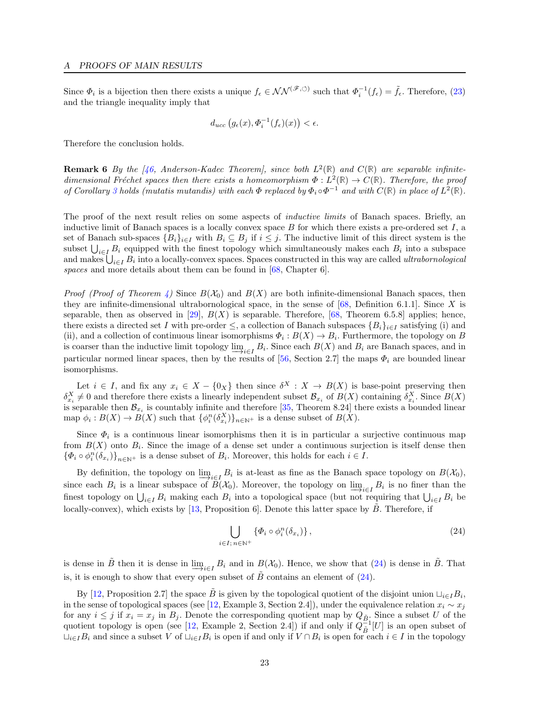Since  $\Phi_i$  is a bijection then there exists a unique  $f_{\epsilon} \in \mathcal{NN}^{(\mathscr{F}, \circlearrowleft)}$  such that  $\Phi_i^{-1}(f_{\epsilon}) = \tilde{f}_{\epsilon}$ . Therefore, [\(23\)](#page-21-2) and the triangle inequality imply that

$$
d_{ucc}\left(g_{\epsilon}(x), \Phi_i^{-1}(f_{\epsilon})(x)\right) < \epsilon.
$$

Therefore the conclusion holds.

**Remark 6** By the [\[46,](#page-16-23) Anderson-Kadec Theorem], since both  $L^2(\mathbb{R})$  and  $C(\mathbb{R})$  are separable infinitedimensional Fréchet spaces then there exists a homeomorphism  $\Phi : L^2(\mathbb{R}) \to C(\mathbb{R})$ . Therefore, the proof of Corollary [3](#page-6-0) holds (mutatis mutandis) with each  $\Phi$  replaced by  $\Phi_i \circ \Phi^{-1}$  and with  $C(\mathbb{R})$  in place of  $L^2(\mathbb{R})$ .

The proof of the next result relies on some aspects of *inductive limits* of Banach spaces. Briefly, an inductive limit of Banach spaces is a locally convex space  $B$  for which there exists a pre-ordered set  $I$ , a set of Banach sub-spaces  $\{B_i\}_{i\in I}$  with  $B_i \subseteq B_j$  if  $i \leq j$ . The inductive limit of this direct system is the subset  $\bigcup_{i\in I} B_i$  equipped with the finest topology which simultaneously makes each  $B_i$  into a subspace and makes  $\bigcup_{i\in I} B_i$  into a locally-convex spaces. Spaces constructed in this way are called *ultrabornological* spaces and more details about them can be found in [\[68,](#page-17-19) Chapter 6].

*Proof (Proof of Theorem [4\)](#page-6-1)* Since  $B(\mathcal{X}_0)$  and  $B(X)$  are both infinite-dimensional Banach spaces, then they are infinite-dimensional ultrabornological space, in the sense of  $[68,$  Definition 6.1.1]. Since X is separable, then as observed in [\[29\]](#page-15-10),  $B(X)$  is separable. Therefore, [\[68,](#page-17-19) Theorem 6.5.8] applies; hence, there exists a directed set I with pre-order  $\leq$ , a collection of Banach subspaces  $\{B_i\}_{i\in I}$  satisfying (i) and (ii), and a collection of continuous linear isomorphisms  $\Phi_i : B(X) \to B_i$ . Furthermore, the topology on B is coarser than the inductive limit topology  $\varinjlim_{i\in I} B_i$ . Since each  $B(X)$  and  $B_i$  are Banach spaces, and in particular normed linear spaces, then by the results of [\[56,](#page-16-24) Section 2.7] the maps  $\Phi_i$  are bounded linear isomorphisms.

Let  $i \in I$ , and fix any  $x_i \in X - \{0_X\}$  then since  $\delta^X : X \to B(X)$  is base-point preserving then  $\delta_{x_i}^X \neq 0$  and therefore there exists a linearly independent subset  $\mathcal{B}_{x_i}$  of  $B(X)$  containing  $\delta_{x_i}^X$ . Since  $B(X)$ is separable then  $\mathcal{B}_{x_i}$  is countably infinite and therefore [\[35,](#page-15-22) Theorem 8.24] there exists a bounded linear map  $\phi_i : B(X) \to B(X)$  such that  $\{\phi_i^n(\delta_{x_i}^X)\}_{n \in \mathbb{N}^+}$  is a dense subset of  $B(X)$ .

Since  $\Phi_i$  is a continuous linear isomorphisms then it is in particular a surjective continuous map from  $B(X)$  onto  $B_i$ . Since the image of a dense set under a continuous surjection is itself dense then  $\{\Phi_i \circ \phi_i^n(\delta_{x_i})\}_{n\in\mathbb{N}^+}$  is a dense subset of  $B_i$ . Moreover, this holds for each  $i \in I$ .

By definition, the topology on  $\underline{\lim}_{i\in I} B_i$  is at-least as fine as the Banach space topology on  $B(\mathcal{X}_0)$ , since each  $B_i$  is a linear subspace of  $B(\mathcal{X}_0)$ . Moreover, the topology on  $\varinjlim_{i\in I} B_i$  is no finer than the finest topology on  $\bigcup_{i\in I} B_i$  making each  $B_i$  into a topological space (but not requiring that  $\bigcup_{i\in I} B_i$  be locally-convex), which exists by [\[13,](#page-15-23) Proposition 6]. Denote this latter space by  $\ddot{B}$ . Therefore, if

<span id="page-22-0"></span>
$$
\bigcup_{i \in I; n \in \mathbb{N}^+} \{ \varPhi_i \circ \phi_i^n(\delta_{x_i}) \},\tag{24}
$$

is dense in  $\tilde{B}$  then it is dense in  $\lim_{i \to i} B_i$  and in  $B(\mathcal{X}_0)$ . Hence, we show that  $(24)$  is dense in  $\tilde{B}$ . That is, it is enough to show that every open subset of  $\tilde{B}$  contains an element of [\(24\)](#page-22-0).

By [\[12,](#page-14-9) Proposition 2.7] the space  $\tilde{B}$  is given by the topological quotient of the disjoint union  $\sqcup_{i\in I}B_i$ , in the sense of topological spaces (see [\[12,](#page-14-9) Example 3, Section 2.4]), under the equivalence relation  $x_i \sim x_j$ for any  $i \leq j$  if  $x_i = x_j$  in  $B_j$ . Denote the corresponding quotient map by  $Q_{\tilde{B}}$ . Since a subset U of the quotient topology is open (see [\[12,](#page-14-9) Example 2, Section 2.4]) if and only if  $Q_{\tilde{B}}^{-1}[U]$  is an open subset of  $\sqcup_{i\in I}B_i$  and since a subset V of  $\sqcup_{i\in I}B_i$  is open if and only if  $V\cap B_i$  is open for each  $i\in I$  in the topology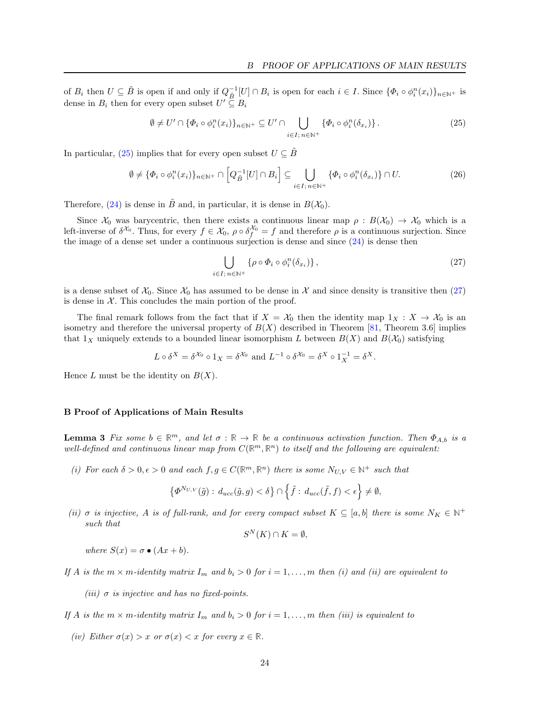of  $B_i$  then  $U \subseteq \tilde{B}$  is open if and only if  $Q_{\tilde{B}}^{-1}[U] \cap B_i$  is open for each  $i \in I$ . Since  $\{\Phi_i \circ \phi_i^n(x_i)\}_{n \in \mathbb{N}^+}$  is dense in  $B_i$  then for every open subset  $U' \subseteq B_i$ 

<span id="page-23-2"></span>
$$
\emptyset \neq U' \cap \{\Phi_i \circ \phi_i^n(x_i)\}_{n \in \mathbb{N}^+} \subseteq U' \cap \bigcup_{i \in I; \, n \in \mathbb{N}^+} \{\Phi_i \circ \phi_i^n(\delta_{x_i})\}.
$$
\n
$$
(25)
$$

In particular, [\(25\)](#page-23-2) implies that for every open subset  $U \subseteq \tilde{B}$ 

$$
\emptyset \neq \{\Phi_i \circ \phi_i^n(x_i)\}_{n \in \mathbb{N}^+} \cap \left[Q_{\tilde{B}}^{-1}[U] \cap B_i\right] \subseteq \bigcup_{i \in I; \, n \in \mathbb{N}^+} \{\Phi_i \circ \phi_i^n(\delta_{x_i})\} \cap U. \tag{26}
$$

Therefore, [\(24\)](#page-22-0) is dense in  $\tilde{B}$  and, in particular, it is dense in  $B(\mathcal{X}_0)$ .

Since  $\mathcal{X}_0$  was barycentric, then there exists a continuous linear map  $\rho : B(\mathcal{X}_0) \to \mathcal{X}_0$  which is a left-inverse of  $\delta^{\mathcal{X}_0}$ . Thus, for every  $f \in \mathcal{X}_0$ ,  $\rho \circ \delta_f^{\mathcal{X}_0} = f$  and therefore  $\rho$  is a continuous surjection. Since the image of a dense set under a continuous surjection is dense and since [\(24\)](#page-22-0) is dense then

<span id="page-23-3"></span>
$$
\bigcup_{i \in I; n \in \mathbb{N}^+} \{ \rho \circ \Phi_i \circ \phi_i^n(\delta_{x_i}) \},\tag{27}
$$

is a dense subset of  $\mathcal{X}_0$ . Since  $\mathcal{X}_0$  has assumed to be dense in  $\mathcal X$  and since density is transitive then  $(27)$ is dense in  $X$ . This concludes the main portion of the proof.

The final remark follows from the fact that if  $X = \mathcal{X}_0$  then the identity map  $1_X : X \to \mathcal{X}_0$  is an isometry and therefore the universal property of  $B(X)$  described in Theorem [\[81,](#page-17-7) Theorem 3.6] implies that  $1_X$  uniquely extends to a bounded linear isomorphism L between  $B(X)$  and  $B(\mathcal{X}_0)$  satisfying

$$
L \circ \delta^X = \delta^{\mathcal{X}_0} \circ 1_X = \delta^{\mathcal{X}_0} \text{ and } L^{-1} \circ \delta^{\mathcal{X}_0} = \delta^X \circ 1_X^{-1} = \delta^X.
$$

Hence L must be the identity on  $B(X)$ .

#### <span id="page-23-0"></span>B Proof of Applications of Main Results

<span id="page-23-1"></span>**Lemma 3** Fix some  $b \in \mathbb{R}^m$ , and let  $\sigma : \mathbb{R} \to \mathbb{R}$  be a continuous activation function. Then  $\Phi_{A,b}$  is a well-defined and continuous linear map from  $C(\mathbb{R}^m,\mathbb{R}^n)$  to itself and the following are equivalent:

(i) For each  $\delta > 0, \epsilon > 0$  and each  $f, g \in C(\mathbb{R}^m, \mathbb{R}^n)$  there is some  $N_{U,V} \in \mathbb{N}^+$  such that

$$
\left\{\varPhi^{N_{U,V}}(\tilde{g}) : d_{ucc}(\tilde{g},g) < \delta\right\} \cap \left\{\tilde{f} : d_{ucc}(\tilde{f},f) < \epsilon\right\} \neq \emptyset,
$$

(ii)  $\sigma$  is injective, A is of full-rank, and for every compact subset  $K \subseteq [a, b]$  there is some  $N_K \in \mathbb{N}^+$ such that

$$
S^N(K) \cap K = \emptyset,
$$

where  $S(x) = \sigma \bullet (Ax + b)$ .

If A is the  $m \times m$ -identity matrix  $I_m$  and  $b_i > 0$  for  $i = 1, \ldots, m$  then (i) and (ii) are equivalent to

(iii)  $\sigma$  is injective and has no fixed-points.

If A is the  $m \times m$ -identity matrix  $I_m$  and  $b_i > 0$  for  $i = 1, ..., m$  then (iii) is equivalent to

(iv) Either  $\sigma(x) > x$  or  $\sigma(x) < x$  for every  $x \in \mathbb{R}$ .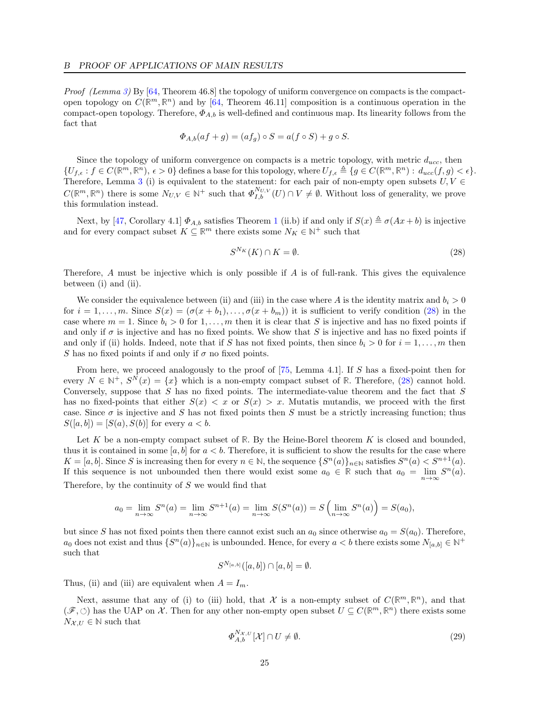Proof (Lemma [3\)](#page-23-1) By [\[64,](#page-16-13) Theorem 46.8] the topology of uniform convergence on compacts is the compactopen topology on  $C(\mathbb{R}^m, \mathbb{R}^n)$  and by [\[64,](#page-16-13) Theorem 46.11] composition is a continuous operation in the compact-open topology. Therefore,  $\Phi_{A,b}$  is well-defined and continuous map. Its linearity follows from the fact that

$$
\Phi_{A,b}(af+g) = (af_g) \circ S = a(f \circ S) + g \circ S.
$$

Since the topology of uniform convergence on compacts is a metric topology, with metric  $d_{ucc}$ , then  $\{U_{f,\epsilon}: f \in C(\mathbb{R}^m, \mathbb{R}^n), \epsilon > 0\}$  defines a base for this topology, where  $U_{f,\epsilon} \triangleq \{g \in C(\mathbb{R}^m, \mathbb{R}^n): d_{ucc}(f,g) < \epsilon\}.$ Therefore, Lemma [3](#page-23-1) (i) is equivalent to the statement: for each pair of non-empty open subsets  $U, V \in$  $C(\mathbb{R}^m, \mathbb{R}^n)$  there is some  $N_{U,V} \in \mathbb{N}^+$  such that  $\Phi_{I,b}^{N_{U,V}}(U) \cap V \neq \emptyset$ . Without loss of generality, we prove this formulation instead.

Next, by [\[47,](#page-16-25) Corollary 4.[1](#page-5-5)]  $\Phi_{A,b}$  satisfies Theorem 1 (ii.b) if and only if  $S(x) \triangleq \sigma(Ax + b)$  is injective and for every compact subset  $K \subseteq \mathbb{R}^m$  there exists some  $N_K \in \mathbb{N}^+$  such that

<span id="page-24-0"></span>
$$
S^{N_K}(K) \cap K = \emptyset. \tag{28}
$$

Therefore,  $A$  must be injective which is only possible if  $A$  is of full-rank. This gives the equivalence between (i) and (ii).

We consider the equivalence between (ii) and (iii) in the case where A is the identity matrix and  $b_i > 0$ for  $i = 1, \ldots, m$ . Since  $S(x) = (\sigma(x + b_1), \ldots, \sigma(x + b_m))$  it is sufficient to verify condition [\(28\)](#page-24-0) in the case where  $m = 1$ . Since  $b_i > 0$  for  $1, \ldots, m$  then it is clear that S is injective and has no fixed points if and only if  $\sigma$  is injective and has no fixed points. We show that S is injective and has no fixed points if and only if (ii) holds. Indeed, note that if S has not fixed points, then since  $b_i > 0$  for  $i = 1, \ldots, m$  then S has no fixed points if and only if  $\sigma$  no fixed points.

From here, we proceed analogously to the proof of [\[75,](#page-17-20) Lemma 4.1]. If S has a fixed-point then for every  $N \in \mathbb{N}^+$ ,  $S^N(x) = \{x\}$  which is a non-empty compact subset of **R**. Therefore, [\(28\)](#page-24-0) cannot hold. Conversely, suppose that  $S$  has no fixed points. The intermediate-value theorem and the fact that  $S$ has no fixed-points that either  $S(x) < x$  or  $S(x) > x$ . Mutatis mutandis, we proceed with the first case. Since  $\sigma$  is injective and S has not fixed points then S must be a strictly increasing function; thus  $S([a, b]) = [S(a), S(b)]$  for every  $a < b$ .

Let K be a non-empty compact subset of R. By the Heine-Borel theorem K is closed and bounded, thus it is contained in some  $[a, b]$  for  $a < b$ . Therefore, it is sufficient to show the results for the case where  $K = [a, b]$ . Since S is increasing then for every  $n \in \mathbb{N}$ , the sequence  $\{S^n(a)\}_{n \in \mathbb{N}}$  satisfies  $S^n(a) < S^{n+1}(a)$ . If this sequence is not unbounded then there would exist some  $a_0 \in \mathbb{R}$  such that  $a_0 = \lim_{n \to \infty} S^n(a)$ . Therefore, by the continuity of  $S$  we would find that

$$
a_0 = \lim_{n \to \infty} S^n(a) = \lim_{n \to \infty} S^{n+1}(a) = \lim_{n \to \infty} S(S^n(a)) = S\left(\lim_{n \to \infty} S^n(a)\right) = S(a_0),
$$

but since S has not fixed points then there cannot exist such an  $a_0$  since otherwise  $a_0 = S(a_0)$ . Therefore,  $a_0$  does not exist and thus  $\{S^n(a)\}_{n\in\mathbb{N}}$  is unbounded. Hence, for every  $a < b$  there exists some  $N_{[a,b]} \in \mathbb{N}^+$ such that

$$
S^{N_{[a,b]}}([a,b]) \cap [a,b] = \emptyset.
$$

Thus, (ii) and (iii) are equivalent when  $A = I_m$ .

Next, assume that any of (i) to (iii) hold, that X is a non-empty subset of  $C(\mathbb{R}^m,\mathbb{R}^n)$ , and that  $(\mathscr{F}, \circlearrowleft)$  has the UAP on  $\mathcal{X}$ . Then for any other non-empty open subset  $U \subseteq C(\mathbb{R}^m, \mathbb{R}^n)$  there exists some  $N_{\mathcal{X},U} \in \mathbb{N}$  such that

$$
\Phi_{A,b}^{N_{\mathcal{X},U}}[\mathcal{X}] \cap U \neq \emptyset. \tag{29}
$$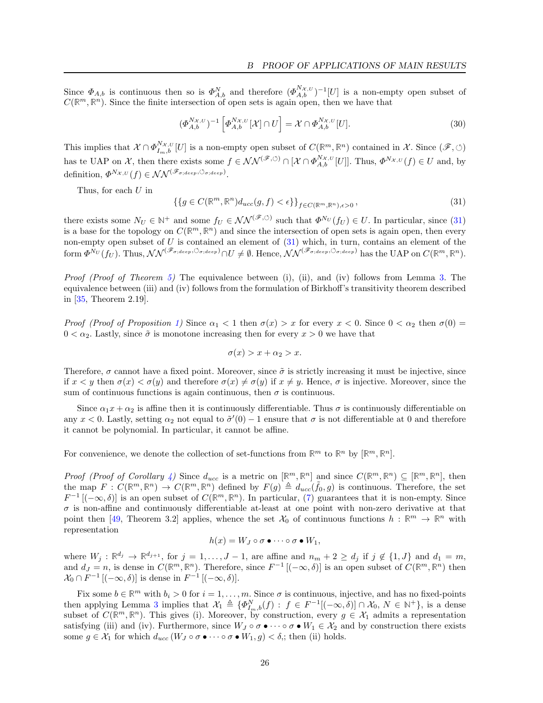Since  $\Phi_{A,b}$  is continuous then so is  $\Phi_{A,b}^N$  and therefore  $(\Phi_{A,b}^{N_{\mathcal{X},U}})^{-1}[U]$  is a non-empty open subset of  $C(\mathbb{R}^m, \mathbb{R}^n)$ . Since the finite intersection of open sets is again open, then we have that

$$
(\Phi_{A,b}^{N_{\mathcal{X},U}})^{-1} \left[ \Phi_{A,b}^{N_{\mathcal{X},U}}[\mathcal{X}] \cap U \right] = \mathcal{X} \cap \Phi_{A,b}^{N_{\mathcal{X},U}}[U]. \tag{30}
$$

This implies that  $\mathcal{X} \cap \Phi_{I_m,b}^{N_{\mathcal{X},U}}[U]$  is a non-empty open subset of  $C(\mathbb{R}^m, \mathbb{R}^n)$  contained in  $\mathcal{X}$ . Since  $(\mathscr{F}, \circlearrowleft)$ has te UAP on  $\mathcal{X}$ , then there exists some  $f \in \mathcal{NN}^{(\mathscr{F}, \circlearrowleft)} \cap [\mathcal{X} \cap \Phi_{A,b}^{N_{\mathcal{X},U}}[U]]$ . Thus,  $\Phi^{N_{\mathcal{X},U}}(f) \in U$  and, by definition,  $\Phi^{N_{\mathcal{X},U}}(f) \in \mathcal{NN}^{(\mathscr{F}_{\sigma;deep}, \circlearrowleft_{\sigma;deep})}.$ 

Thus, for each U in

<span id="page-25-0"></span>
$$
\{\{g \in C(\mathbb{R}^m, \mathbb{R}^n) d_{ucc}(g, f) < \epsilon\}\}_{f \in C(\mathbb{R}^m, \mathbb{R}^n), \epsilon > 0},\tag{31}
$$

there exists some  $N_U \in \mathbb{N}^+$  and some  $f_U \in \mathcal{NN}^{(\mathscr{F}, \circlearrowleft)}$  such that  $\Phi^{N_U}(f_U) \in U$ . In particular, since [\(31\)](#page-25-0) is a base for the topology on  $C(\mathbb{R}^m, \mathbb{R}^n)$  and since the intersection of open sets is again open, then every non-empty open subset of  $U$  is contained an element of  $(31)$  which, in turn, contains an element of the  $\text{form } \Phi^{\overline{N}_U}(f_U)$ . Thus,  $\mathcal{NN}^{(\mathscr{F}_{\sigma;deep}, \circlearrowleft_{\sigma;deep})} \cap U \neq \emptyset$ . Hence,  $\mathcal{NN}^{(\mathscr{F}_{\sigma;deep}, \circlearrowleft_{\sigma;deep})}$  has the UAP on  $C(\mathbb{R}^m, \mathbb{R}^n)$ .

Proof (Proof of Theorem [5\)](#page-7-1) The equivalence between (i), (ii), and (iv) follows from Lemma [3.](#page-23-1) The equivalence between (iii) and (iv) follows from the formulation of Birkhoff's transitivity theorem described in [\[35,](#page-15-22) Theorem 2.19].

Proof (Proof of Proposition [1\)](#page-8-0) Since  $\alpha_1 < 1$  then  $\sigma(x) > x$  for every  $x < 0$ . Since  $0 < \alpha_2$  then  $\sigma(0) =$  $0 < \alpha_2$ . Lastly, since  $\tilde{\sigma}$  is monotone increasing then for every  $x > 0$  we have that

$$
\sigma(x) > x + \alpha_2 > x.
$$

Therefore,  $\sigma$  cannot have a fixed point. Moreover, since  $\tilde{\sigma}$  is strictly increasing it must be injective, since if  $x < y$  then  $\sigma(x) < \sigma(y)$  and therefore  $\sigma(x) \neq \sigma(y)$  if  $x \neq y$ . Hence,  $\sigma$  is injective. Moreover, since the sum of continuous functions is again continuous, then  $\sigma$  is continuous.

Since  $\alpha_1 x + \alpha_2$  is affine then it is continuously differentiable. Thus  $\sigma$  is continuously differentiable on any  $x < 0$ . Lastly, setting  $\alpha_2$  not equal to  $\tilde{\sigma}'(0) - 1$  ensure that  $\sigma$  is not differentiable at 0 and therefore it cannot be polynomial. In particular, it cannot be affine.

For convenience, we denote the collection of set-functions from  $\mathbb{R}^m$  to  $\mathbb{R}^n$  by  $[\mathbb{R}^m, \mathbb{R}^n]$ .

Proof (Proof of Corollary [4\)](#page-10-1) Since  $d_{ucc}$  is a metric on  $[\mathbb{R}^m, \mathbb{R}^n]$  and since  $C(\mathbb{R}^m, \mathbb{R}^n) \subseteq [\mathbb{R}^m, \mathbb{R}^n]$ , then the map  $F: C(\mathbb{R}^m, \mathbb{R}^n) \to C(\mathbb{R}^m, \mathbb{R}^n)$  defined by  $F(g) \triangleq d_{ucc}(\tilde{f}_0, g)$  is continuous. Therefore, the set  $F^{-1}$  [ $(-\infty, \delta)$ ] is an open subset of  $C(\mathbb{R}^m, \mathbb{R}^n)$ . In particular, [\(7\)](#page-10-0) guarantees that it is non-empty. Since  $\sigma$  is non-affine and continuously differentiable at-least at one point with non-zero derivative at that point then [\[49,](#page-16-6) Theorem 3.2] applies, whence the set  $\mathcal{X}_0$  of continuous functions  $h : \mathbb{R}^m \to \mathbb{R}^n$  with representation

$$
h(x) = W_J \circ \sigma \bullet \cdots \circ \sigma \bullet W_1,
$$

where  $W_j : \mathbb{R}^{d_j} \to \mathbb{R}^{d_{j+1}}$ , for  $j = 1, \ldots, J-1$ , are affine and  $n_m + 2 \ge d_j$  if  $j \notin \{1, J\}$  and  $d_1 = m$ , and  $d_J = n$ , is dense in  $C(\mathbb{R}^m, \mathbb{R}^n)$ . Therefore, since  $F^{-1} [(-\infty, \delta)]$  is an open subset of  $C(\mathbb{R}^m, \mathbb{R}^n)$  then  $\mathcal{X}_0 \cap F^{-1}\left[(-\infty,\delta)\right]$  is dense in  $F^{-1}\left[(-\infty,\delta)\right]$ .

Fix some  $b \in \mathbb{R}^m$  with  $b_i > 0$  for  $i = 1, ..., m$ . Since  $\sigma$  is continuous, injective, and has no fixed-points then applying Lemma [3](#page-23-1) implies that  $\mathcal{X}_1 \triangleq {\{\Phi_{I_m, b}^N(f) : f \in F^{-1}[(-\infty, \delta)] \cap \mathcal{X}_0, N \in \mathbb{N}^+\}}$ , is a dense subset of  $C(\mathbb{R}^m,\mathbb{R}^n)$ . This gives (i). Moreover, by construction, every  $g \in \mathcal{X}_1$  admits a representation satisfying (iii) and (iv). Furthermore, since  $W_J \circ \sigma \bullet \cdots \circ \sigma \bullet W_1 \in \mathcal{X}_2$  and by construction there exists some  $g \in \mathcal{X}_1$  for which  $d_{ucc}(W_J \circ \sigma \bullet \cdots \circ \sigma \bullet W_1, g) < \delta$ ; then (ii) holds.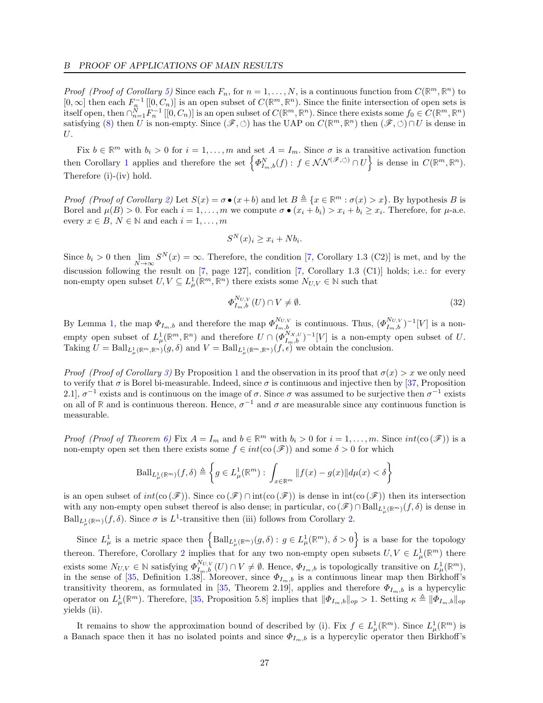*Proof (Proof of Corollary [5\)](#page-11-1)* Since each  $F_n$ , for  $n = 1, ..., N$ , is a continuous function from  $C(\mathbb{R}^m, \mathbb{R}^n)$  to  $[0,\infty]$  then each  $F_n^{-1}$   $[[0,C_n)]$  is an open subset of  $C(\mathbb{R}^m,\mathbb{R}^n)$ . Since the finite intersection of open sets is  $\text{dist}(\text{open}, \text{then } \bigcap_{n=1}^{N} F_n^{-1} \left[ [0, C_n) \right]$  is an open subset of  $C(\mathbb{R}^m, \mathbb{R}^n)$ . Since there exists some  $f_0 \in C(\mathbb{R}^m, \mathbb{R}^n)$ satisfying [\(8\)](#page-11-2) then U is non-empty. Since  $(\mathscr{F}, \circlearrowleft)$  has the UAP on  $C(\mathbb{R}^m, \mathbb{R}^n)$  then  $(\mathscr{F}, \circlearrowleft) \cap U$  is dense in U.

Fix  $b \in \mathbb{R}^m$  with  $b_i > 0$  for  $i = 1, ..., m$  and set  $A = I_m$ . Since  $\sigma$  is a transitive activation function then Corollary [1](#page-8-2) applies and therefore the set  $\left\{\Phi_{I_m,b}^N(f) : f \in \mathcal{NN}^{(\mathscr{F}, \circlearrowleft)} \cap U\right\}$  is dense in  $C(\mathbb{R}^m, \mathbb{R}^n)$ . Therefore (i)-(iv) hold.

Proof (Proof of Corollary [2\)](#page-9-1) Let  $S(x) = \sigma \bullet (x+b)$  and let  $B \triangleq \{x \in \mathbb{R}^m : \sigma(x) > x\}$ . By hypothesis B is Borel and  $\mu(B) > 0$ . For each  $i = 1, ..., m$  we compute  $\sigma \bullet (x_i + b_i) > x_i + b_i \geq x_i$ . Therefore, for  $\mu$ -a.e. every  $x \in B$ ,  $N \in \mathbb{N}$  and each  $i = 1, \ldots, m$ 

$$
S^N(x)_i \ge x_i + Nb_i.
$$

Since  $b_i > 0$  then  $\lim_{M \to \infty} S^N(x) = \infty$ . Therefore, the condition [\[7,](#page-14-10) Corollary 1.3 (C2)] is met, and by the discussion following the result on [\[7,](#page-14-10) page 127], condition [7, Corollary 1.3 (C1)] holds; i.e.: for every non-empty open subset  $U, V \subseteq L^1_\mu(\mathbb{R}^m, \mathbb{R}^n)$  there exists some  $N_{U,V} \in \mathbb{N}$  such that

$$
\Phi_{I_m,b}^{N_{U,V}}(U) \cap V \neq \emptyset. \tag{32}
$$

By Lemma [1,](#page-9-2) the map  $\Phi_{I_m,b}$  and therefore the map  $\Phi_{I_m,b}^{N_{U,V}}$  is continuous. Thus,  $(\Phi_{I_m,b}^{N_{U,V}})^{-1}[V]$  is a nonempty open subset of  $L^1_\mu(\mathbb{R}^m,\mathbb{R}^n)$  and therefore  $U \cap (\Phi_{I_m,b}^{N_{\mathcal{X},U}})^{-1}[V]$  is a non-empty open subset of U. Taking  $U = \text{Ball}_{L^1_\mu(\mathbb{R}^m, \mathbb{R}^n)}(g, \delta)$  and  $V = \text{Ball}_{L^1_\mu(\mathbb{R}^m, \mathbb{R}^n)}(f, \epsilon)$  we obtain the conclusion.

*Proof (Proof of Corollary [3\)](#page-9-3)* By Proposition [1](#page-8-0) and the observation in its proof that  $\sigma(x) > x$  we only need to verify that  $\sigma$  is Borel bi-measurable. Indeed, since  $\sigma$  is continuous and injective then by [\[37,](#page-15-24) Proposition 2.1,  $\sigma^{-1}$  exists and is continuous on the image of  $\sigma$ . Since  $\sigma$  was assumed to be surjective then  $\sigma^{-1}$  exists on all of R and is continuous thereon. Hence,  $\sigma^{-1}$  and  $\sigma$  are measurable since any continuous function is measurable.

*Proof (Proof of Theorem [6\)](#page-11-0)* Fix  $A = I_m$  and  $b \in \mathbb{R}^m$  with  $b_i > 0$  for  $i = 1, ..., m$ . Since  $int(\cos(\mathscr{F}))$  is a non-empty open set then there exists some  $f \in int(\mathfrak{co}(\mathscr{F}))$  and some  $\delta > 0$  for which

$$
\text{Ball}_{L^1_\mu(\mathbb{R}^m)}(f,\delta) \triangleq \left\{ g \in L^1_\mu(\mathbb{R}^m): \int_{x \in \mathbb{R}^m} ||f(x) - g(x)|| d\mu(x) < \delta \right\}
$$

is an open subset of  $int(\infty (\mathscr{F}))$ . Since  $\infty (\mathscr{F})$  ∩ int $(\infty (\mathscr{F}))$  is dense in  $int(\infty (\mathscr{F}))$  then its intersection with any non-empty open subset thereof is also dense; in particular,  $\text{co}(\mathscr{F}) \cap \text{Ball}_{L^1_\mu(\mathbb{R}^m)}(f, \delta)$  is dense in  $\text{Ball}_{L^1_\mu(\mathbb{R}^m)}(f,\delta)$ . Since  $\sigma$  is  $L^1$ -transitive then (iii) follows from Corollary [2.](#page-9-1)

Since  $L^1_\mu$  is a metric space then  $\left\{\text{Ball}_{L^1_\mu(\mathbb{R}^m)}(g,\delta): g \in L^1_\mu(\mathbb{R}^m), \delta > 0\right\}$  is a base for the topology thereon. Therefore, Corollary [2](#page-9-1) implies that for any two non-empty open subsets  $U, V \in L^1_\mu(\mathbb{R}^m)$  there exists some  $N_{U,V} \in \mathbb{N}$  satisfying  $\Phi_{I_m,b}^{N_{U,V}}(U) \cap V \neq \emptyset$ . Hence,  $\Phi_{I_m,b}$  is topologically transitive on  $L^1_\mu(\mathbb{R}^m)$ , in the sense of [\[35,](#page-15-22) Definition 1.38]. Moreover, since  $\Phi_{I_m,b}$  is a continuous linear map then Birkhoff's transitivity theorem, as formulated in [\[35,](#page-15-22) Theorem 2.19], applies and therefore  $\Phi_{I_m,b}$  is a hypercylic operator on  $L^1_\mu(\mathbb{R}^m)$ . Therefore, [\[35,](#page-15-22) Proposition 5.8] implies that  $\|\Phi_{I_m,b}\|_{op} > 1$ . Setting  $\kappa \triangleq \|\Phi_{I_m,b}\|_{op}$ yields (ii).

It remains to show the approximation bound of described by (i). Fix  $f \in L^1_\mu(\mathbb{R}^m)$ . Since  $L^1_\mu(\mathbb{R}^m)$  is a Banach space then it has no isolated points and since  $\Phi_{I_m,b}$  is a hypercylic operator then Birkhoff's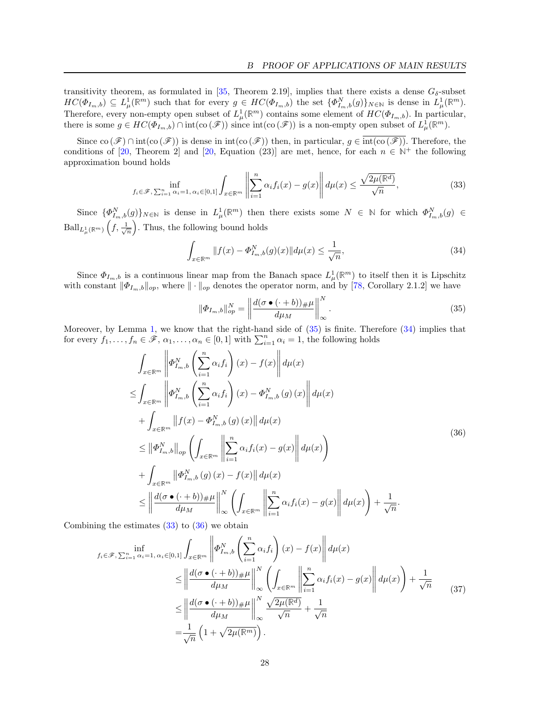transitivity theorem, as formulated in [\[35,](#page-15-22) Theorem 2.19], implies that there exists a dense  $G_{\delta}$ -subset  $HC(\Phi_{I_m,b}) \subseteq L^1_\mu(\mathbb{R}^m)$  such that for every  $g \in HC(\Phi_{I_m,b})$  the set  $\{\Phi^N_{I_m,b}(g)\}_{N\in\mathbb{N}}$  is dense in  $L^1_\mu(\mathbb{R}^m)$ . Therefore, every non-empty open subset of  $L^1_\mu(\mathbb{R}^m)$  contains some element of  $HC(\Phi_{I_m,b})$ . In particular, there is some  $g \in HC(\Phi_{I_m,b}) \cap \text{int}(\text{co}(\mathscr{F}))$  since  $\text{int}(\text{co}(\mathscr{F}))$  is a non-empty open subset of  $L^1_\mu(\mathbb{R}^m)$ .

Since  $\text{co}(\mathscr{F}) \cap \text{int}(\text{co}(\mathscr{F}))$  is dense in  $\text{int}(\text{co}(\mathscr{F}))$  then, in particular,  $g \in \text{int}(\text{co}(\mathscr{F}))$ . Therefore, the conditions of [\[20,](#page-15-21) Theorem 2] and [20, Equation (23)] are met, hence, for each  $n \in \mathbb{N}^+$  the following approximation bound holds

<span id="page-27-2"></span>
$$
\inf_{f_i \in \mathscr{F}, \sum_{i=1}^n \alpha_i = 1, \alpha_i \in [0,1]} \int_{x \in \mathbb{R}^m} \left\| \sum_{i=1}^n \alpha_i f_i(x) - g(x) \right\| d\mu(x) \le \frac{\sqrt{2\mu(\mathbb{R}^d)}}{\sqrt{n}},\tag{33}
$$

Since  $\{\Phi_{I_m,b}^N(g)\}_{N\in\mathbb{N}}$  is dense in  $L^1_\mu(\mathbb{R}^m)$  then there exists some  $N \in \mathbb{N}$  for which  $\Phi_{I_m,b}^N(g) \in$  $\text{Ball}_{L^1_\mu(\mathbb{R}^m)}\left(f,\frac{1}{\sqrt{n}}\right)$ . Thus, the following bound holds

<span id="page-27-1"></span>
$$
\int_{x \in \mathbb{R}^m} \|f(x) - \Phi_{I_m, b}^N(g)(x)\| d\mu(x) \le \frac{1}{\sqrt{n}},\tag{34}
$$

Since  $\Phi_{I_m,b}$  is a continuous linear map from the Banach space  $L^1_\mu(\mathbb{R}^m)$  to itself then it is Lipschitz with constant  $\|\Phi_{I_m,b}\|_{op}$ , where  $\|\cdot\|_{op}$  denotes the operator norm, and by [\[78,](#page-17-14) Corollary 2.1.2] we have

<span id="page-27-0"></span>
$$
\|\Phi_{I_m,b}\|_{op}^N = \left\|\frac{d(\sigma \bullet (\cdot + b))_\# \mu}{d\mu_M}\right\|_{\infty}^N.
$$
\n(35)

Moreover, by Lemma [1,](#page-9-2) we know that the right-hand side of [\(35\)](#page-27-0) is finite. Therefore [\(34\)](#page-27-1) implies that for every  $f_1, \ldots, f_n \in \mathscr{F}, \alpha_1, \ldots, \alpha_n \in [0,1]$  with  $\sum_{i=1}^n \alpha_i = 1$ , the following holds

<span id="page-27-3"></span>
$$
\int_{x \in \mathbb{R}^m} \left\| \Phi_{I_m, b}^N \left( \sum_{i=1}^n \alpha_i f_i \right) (x) - f(x) \right\| d\mu(x)
$$
\n
$$
\leq \int_{x \in \mathbb{R}^m} \left\| \Phi_{I_m, b}^N \left( \sum_{i=1}^n \alpha_i f_i \right) (x) - \Phi_{I_m, b}^N (g) (x) \right\| d\mu(x)
$$
\n
$$
+ \int_{x \in \mathbb{R}^m} \left\| f(x) - \Phi_{I_m, b}^N (g) (x) \right\| d\mu(x)
$$
\n
$$
\leq \left\| \Phi_{I_m, b}^N \right\|_{op} \left( \int_{x \in \mathbb{R}^m} \left\| \sum_{i=1}^n \alpha_i f_i (x) - g(x) \right\| d\mu(x) \right)
$$
\n
$$
+ \int_{x \in \mathbb{R}^m} \left\| \Phi_{I_m, b}^N (g) (x) - f(x) \right\| d\mu(x)
$$
\n
$$
\leq \left\| \frac{d(\sigma \bullet (\cdot + b))_{\#} \mu}{d\mu_M} \right\|_{\infty}^N \left( \int_{x \in \mathbb{R}^m} \left\| \sum_{i=1}^n \alpha_i f_i (x) - g(x) \right\| d\mu(x) \right) + \frac{1}{\sqrt{n}}.
$$
\n(36)

Combining the estimates  $(33)$  to  $(36)$  we obtain

<span id="page-27-4"></span>
$$
f_i \in \mathcal{F}, \sum_{i=1}^n \alpha_i = 1, \alpha_i \in [0,1] \int_{x \in \mathbb{R}^m} \left\| \Phi_{I_m,b}^N \left( \sum_{i=1}^n \alpha_i f_i \right) (x) - f(x) \right\| d\mu(x)
$$
  
\n
$$
\leq \left\| \frac{d(\sigma \bullet (\cdot + b)) \# \mu}{d\mu_M} \right\|_{\infty}^N \left( \int_{x \in \mathbb{R}^m} \left\| \sum_{i=1}^n \alpha_i f_i(x) - g(x) \right\| d\mu(x) \right) + \frac{1}{\sqrt{n}} \leq \left\| \frac{d(\sigma \bullet (\cdot + b)) \# \mu}{d\mu_M} \right\|_{\infty}^N \frac{\sqrt{2\mu(\mathbb{R}^d)}}{\sqrt{n}} + \frac{1}{\sqrt{n}} \right\}
$$
(37)  
\n
$$
= \frac{1}{\sqrt{n}} \left( 1 + \sqrt{2\mu(\mathbb{R}^m)} \right).
$$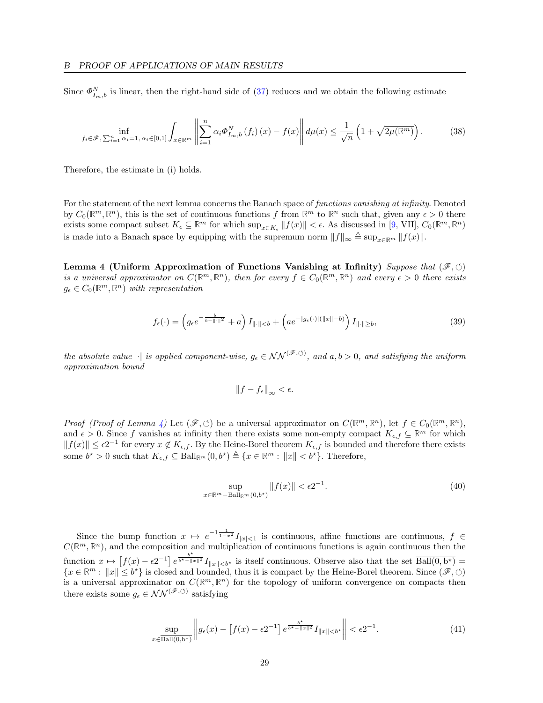Since  $\Phi_{I_m,b}^N$  is linear, then the right-hand side of [\(37\)](#page-27-4) reduces and we obtain the following estimate

$$
\inf_{f_i \in \mathscr{F}, \sum_{i=1}^n \alpha_i = 1, \alpha_i \in [0,1]} \int_{x \in \mathbb{R}^m} \left\| \sum_{i=1}^n \alpha_i \Phi_{I_m,b}^N \left( f_i \right) (x) - f(x) \right\| d\mu(x) \le \frac{1}{\sqrt{n}} \left( 1 + \sqrt{2\mu(\mathbb{R}^m)} \right). \tag{38}
$$

Therefore, the estimate in (i) holds.

For the statement of the next lemma concerns the Banach space of functions vanishing at infinity. Denoted by  $C_0(\mathbb{R}^m, \mathbb{R}^n)$ , this is the set of continuous functions f from  $\mathbb{R}^m$  to  $\mathbb{R}^n$  such that, given any  $\epsilon > 0$  there exists some compact subset  $K_{\epsilon} \subseteq \mathbb{R}^m$  for which  $\sup_{x \in K_{\epsilon}} ||f(x)|| < \epsilon$ . As discussed in [\[9,](#page-14-11) VII],  $C_0(\mathbb{R}^m, \mathbb{R}^n)$ is made into a Banach space by equipping with the supremum norm  $||f||_{\infty} \triangleq \sup_{x \in \mathbb{R}^m} ||f(x)||$ .

Lemma 4 (Uniform Approximation of Functions Vanishing at Infinity) Suppose that  $(\mathscr{F}, \circlearrowleft)$ is a universal approximator on  $C(\mathbb{R}^m, \mathbb{R}^n)$ , then for every  $f \in C_0(\mathbb{R}^m, \mathbb{R}^n)$  and every  $\epsilon > 0$  there exists  $g_{\epsilon} \in C_0(\mathbb{R}^m, \mathbb{R}^n)$  with representation

$$
f_{\epsilon}(\cdot) = \left(g_{\epsilon}e^{-\frac{b}{b-\|\cdot\|^2}} + a\right)I_{\|\cdot\|
$$

the absolute value  $|\cdot|$  is applied component-wise,  $g_{\epsilon} \in \mathcal{NN}^{(\mathscr{F}, \circlearrowleft)}$ , and  $a, b > 0$ , and satisfying the uniform approximation bound

<span id="page-28-0"></span>
$$
\|f - f_{\epsilon}\|_{\infty} < \epsilon.
$$

Proof (Proof of Lemma [4\)](#page-28-0) Let  $(\mathscr{F}, \circlearrowleft)$  be a universal approximator on  $C(\mathbb{R}^m, \mathbb{R}^n)$ , let  $f \in C_0(\mathbb{R}^m, \mathbb{R}^n)$ , and  $\epsilon > 0$ . Since f vanishes at infinity then there exists some non-empty compact  $K_{\epsilon,f} \subseteq \mathbb{R}^m$  for which  $||f(x)|| \leq \epsilon 2^{-1}$  for every  $x \notin K_{\epsilon,f}$ . By the Heine-Borel theorem  $K_{\epsilon,f}$  is bounded and therefore there exists some  $b^* > 0$  such that  $K_{\epsilon,f} \subseteq \text{Ball}_{\mathbb{R}^m}(0, b^*) \triangleq \{x \in \mathbb{R}^m : ||x|| < b^*\}.$  Therefore,

<span id="page-28-2"></span>
$$
\sup_{x \in \mathbb{R}^m - \text{Ball}_{\mathbb{R}^m}(0, b^*)} \|f(x)\| < \epsilon 2^{-1}.\tag{40}
$$

Since the bump function  $x \mapsto e^{-1\frac{1}{1-x^2}} I_{|x|<1}$  is continuous, affine functions are continuous,  $f \in$  $C(\mathbb{R}^m,\mathbb{R}^n)$ , and the composition and multiplication of continuous functions is again continuous then the function  $x \mapsto [f(x) - \epsilon 2^{-1}] e^{\frac{b^*}{b^* - ||x||^2}} I_{||x|| < b^*}$  is itself continuous. Observe also that the set  $\overline{\text{Ball}(0, b^*)} =$  ${x \in \mathbb{R}^m : ||x|| \leq b^*}$  is closed and bounded, thus it is compact by the Heine-Borel theorem. Since  $(\mathscr{F}, \circlearrowleft)$ is a universal approximator on  $C(\mathbb{R}^m,\mathbb{R}^n)$  for the topology of uniform convergence on compacts then there exists some  $g_{\epsilon} \in \mathcal{NN}^{(\mathscr{F}, \circlearrowleft)}$  satisfying

<span id="page-28-1"></span>
$$
\sup_{x \in \overline{\text{Ball}(0, b^{\star})}} \left\| g_{\epsilon}(x) - \left[ f(x) - \epsilon 2^{-1} \right] e^{\frac{b^{\star}}{b^{\star} - \|x\|^2}} I_{\|x\| < b^{\star}} \right\| < \epsilon 2^{-1}.
$$
 (41)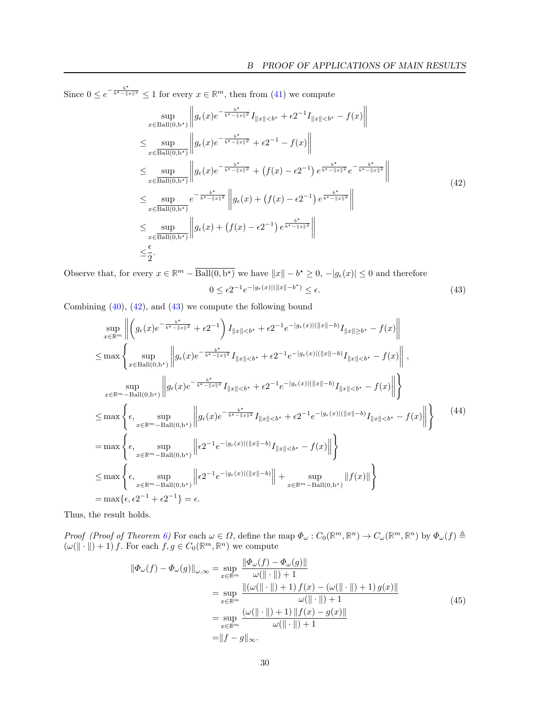Since  $0 \leq e^{-\frac{b^*}{b^* - ||x||^2}} \leq 1$  for every  $x \in \mathbb{R}^m$ , then from [\(41\)](#page-28-1) we compute

<span id="page-29-0"></span>
$$
\sup_{x \in \text{Ball}(0,b^*)} \left\| g_{\epsilon}(x) e^{-\frac{b^*}{b^* - \|x\|^2}} I_{\|x\| < b^*} + \epsilon 2^{-1} I_{\|x\| < b^*} - f(x) \right\|
$$
\n
$$
\leq \sup_{x \in \text{Ball}(0,b^*)} \left\| g_{\epsilon}(x) e^{-\frac{b^*}{b^* - \|x\|^2}} + \epsilon 2^{-1} - f(x) \right\|
$$
\n
$$
\leq \sup_{x \in \text{Ball}(0,b^*)} \left\| g_{\epsilon}(x) e^{-\frac{b^*}{b^* - \|x\|^2}} + (f(x) - \epsilon 2^{-1}) e^{\frac{b^*}{b^* - \|x\|^2}} e^{-\frac{b^*}{b^* - \|x\|^2}} \right\|
$$
\n
$$
\leq \sup_{x \in \text{Ball}(0,b^*)} e^{-\frac{b^*}{b^* - \|x\|^2}} \left\| g_{\epsilon}(x) + (f(x) - \epsilon 2^{-1}) e^{\frac{b^*}{b^* - \|x\|^2}} \right\|
$$
\n
$$
\leq \sup_{x \in \text{Ball}(0,b^*)} \left\| g_{\epsilon}(x) + (f(x) - \epsilon 2^{-1}) e^{\frac{b^*}{b^* - \|x\|^2}} \right\|
$$
\n
$$
\leq \frac{\epsilon}{2}.
$$
\n(42)

Observe that, for every  $x \in \mathbb{R}^m - \overline{\text{Ball}(0, b^*)}$  we have  $||x|| - b^* \ge 0, -|g_\epsilon(x)| \le 0$  and therefore  $0 \leq \epsilon 2^{-1} e^{-|g_{\epsilon}(x)| (||x|| - b^*)} \leq \epsilon.$  (43)

Combining  $(40)$ ,  $(42)$ , and  $(43)$  we compute the following bound

<span id="page-29-1"></span>
$$
\sup_{x \in \mathbb{R}^m} \left\| \left( g_{\epsilon}(x) e^{-\frac{b^*}{b^*-||x||^2}} + \epsilon 2^{-1} \right) I_{||x||  
\n
$$
\leq \max \left\{ \sup_{x \in \text{Ball}(0,b^*)} \left\| g_{\epsilon}(x) e^{-\frac{b^*}{b^*-||x||^2}} I_{||x||  
\n
$$
\sup_{x \in \mathbb{R}^m - \text{Ball}(0,b^*)} \left\| g_{\epsilon}(x) e^{-\frac{b^*}{b^*-||x||^2}} I_{||x||  
\n
$$
\leq \max \left\{ \epsilon, \sup_{x \in \mathbb{R}^m - \text{Ball}(0,b^*)} \left\| g_{\epsilon}(x) e^{-\frac{b^*}{b^*-||x||^2}} I_{||x||  
\n
$$
= \max \left\{ \epsilon, \sup_{x \in \mathbb{R}^m - \text{Ball}(0,b^*)} \left\| \epsilon 2^{-1} e^{-|g_{\epsilon}(x)|(||x||-b)} I_{||x||  
\n
$$
\leq \max \left\{ \epsilon, \sup_{x \in \mathbb{R}^m - \text{Ball}(0,b^*)} \left\| \epsilon 2^{-1} e^{-|g_{\epsilon}(x)|(||x||-b)} \right\| + \sup_{x \in \mathbb{R}^m - \text{Ball}(0,b^*)} ||f(x)|| \right\}
$$
  
\n
$$
= \max \{\epsilon, \epsilon 2^{-1} + \epsilon 2^{-1}\} = \epsilon.
$$
 (41)
$$
$$
$$
$$
$$

Thus, the result holds.

Proof (Proof of Theorem [6\)](#page-13-1) For each  $\omega \in \Omega$ , define the map  $\Phi_{\omega}: C_0(\mathbb{R}^m, \mathbb{R}^n) \to C_{\omega}(\mathbb{R}^m, \mathbb{R}^n)$  by  $\Phi_{\omega}(f) \triangleq$  $(\omega(\|\cdot\|) + 1) f$ . For each  $f, g \in C_0(\mathbb{R}^m, \mathbb{R}^n)$  we compute

$$
\|\Phi_{\omega}(f) - \Phi_{\omega}(g)\|_{\omega,\infty} = \sup_{x \in \mathbb{R}^m} \frac{\|\Phi_{\omega}(f) - \Phi_{\omega}(g)\|}{\omega(\|\cdot\|) + 1} \n= \sup_{x \in \mathbb{R}^m} \frac{\|(\omega(\|\cdot\|) + 1) f(x) - (\omega(\|\cdot\|) + 1) g(x)\|}{\omega(\|\cdot\|) + 1} \n= \sup_{x \in \mathbb{R}^m} \frac{(\omega(\|\cdot\|) + 1) \|f(x) - g(x)\|}{\omega(\|\cdot\|) + 1}
$$
\n(45)\n  
\n= \|f - g\|\_{\infty}.